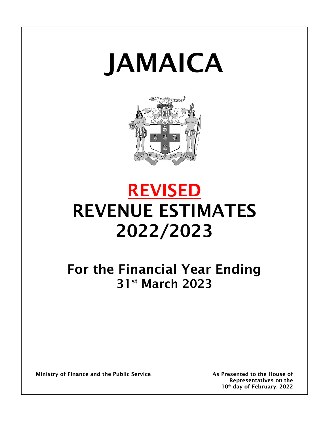# JAMAICA



# REVISED REVENUE ESTIMATES 2022/2023

For the Financial Year Ending 31st March 2023

Ministry of Finance and the Public Service **As Presented to the House of** As Presented to the House of

Representatives on the 10th day of February, 2022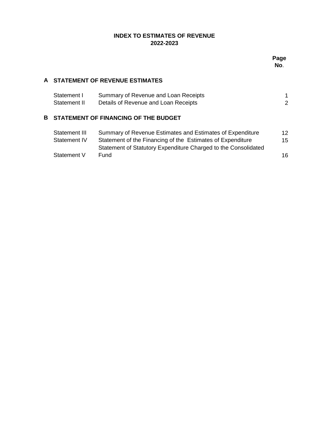# **INDEX TO ESTIMATES OF REVENUE 2022-2023**

## **A STATEMENT OF REVENUE ESTIMATES**

| Statement I  | Summary of Revenue and Loan Receipts |  |
|--------------|--------------------------------------|--|
| Statement II | Details of Revenue and Loan Receipts |  |

## **B STATEMENT OF FINANCING OF THE BUDGET**

| Statement III | Summary of Revenue Estimates and Estimates of Expenditure      | 12 |
|---------------|----------------------------------------------------------------|----|
| Statement IV  | Statement of the Financing of the Estimates of Expenditure     | 15 |
|               | Statement of Statutory Expenditure Charged to the Consolidated |    |
| Statement V   | Fund                                                           | 16 |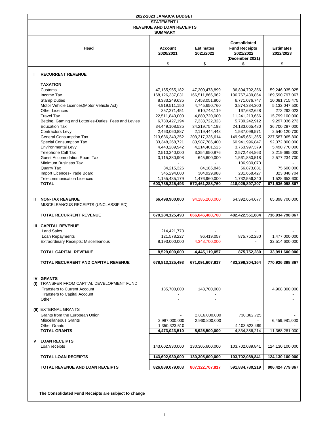|              |                                                                                                                                                                                                                                                                                                                                                                                                                                                                           | 2022-2023 JAMAICA BUDGET                                                                                                                                                                                                                                          |                                                                                                                                                                                                                                                             |                                                                                                                                                                                                                                                                               |                                                                                                                                                                                                                                                                 |
|--------------|---------------------------------------------------------------------------------------------------------------------------------------------------------------------------------------------------------------------------------------------------------------------------------------------------------------------------------------------------------------------------------------------------------------------------------------------------------------------------|-------------------------------------------------------------------------------------------------------------------------------------------------------------------------------------------------------------------------------------------------------------------|-------------------------------------------------------------------------------------------------------------------------------------------------------------------------------------------------------------------------------------------------------------|-------------------------------------------------------------------------------------------------------------------------------------------------------------------------------------------------------------------------------------------------------------------------------|-----------------------------------------------------------------------------------------------------------------------------------------------------------------------------------------------------------------------------------------------------------------|
|              |                                                                                                                                                                                                                                                                                                                                                                                                                                                                           | <b>STATEMENT I</b>                                                                                                                                                                                                                                                |                                                                                                                                                                                                                                                             |                                                                                                                                                                                                                                                                               |                                                                                                                                                                                                                                                                 |
|              |                                                                                                                                                                                                                                                                                                                                                                                                                                                                           | <b>REVENUE AND LOAN RECEIPTS</b>                                                                                                                                                                                                                                  |                                                                                                                                                                                                                                                             |                                                                                                                                                                                                                                                                               |                                                                                                                                                                                                                                                                 |
|              |                                                                                                                                                                                                                                                                                                                                                                                                                                                                           | <b>SUMMARY</b>                                                                                                                                                                                                                                                    |                                                                                                                                                                                                                                                             |                                                                                                                                                                                                                                                                               |                                                                                                                                                                                                                                                                 |
|              | Head                                                                                                                                                                                                                                                                                                                                                                                                                                                                      | Account<br>2020/2021                                                                                                                                                                                                                                              | <b>Estimates</b><br>2021/2022                                                                                                                                                                                                                               | <b>Consolidated</b><br><b>Fund Receipts</b><br>2021/2022<br>(December 2021)                                                                                                                                                                                                   | <b>Estimates</b><br>2022/2023                                                                                                                                                                                                                                   |
|              |                                                                                                                                                                                                                                                                                                                                                                                                                                                                           | \$                                                                                                                                                                                                                                                                | \$                                                                                                                                                                                                                                                          | \$                                                                                                                                                                                                                                                                            | \$                                                                                                                                                                                                                                                              |
| $\mathbf{I}$ | <b>RECURRENT REVENUE</b>                                                                                                                                                                                                                                                                                                                                                                                                                                                  |                                                                                                                                                                                                                                                                   |                                                                                                                                                                                                                                                             |                                                                                                                                                                                                                                                                               |                                                                                                                                                                                                                                                                 |
|              | <b>TAXATION</b><br>Customs<br>Income Tax<br><b>Stamp Duties</b><br>Motor Vehicle Licences(Motor Vehicle Act)<br><b>Other Licences</b><br><b>Travel Tax</b><br>Betting, Gaming and Lotteries-Duties, Fees and Levies<br><b>Education Tax</b><br><b>Contractors Levv</b><br><b>General Consumption Tax</b><br>Special Consumption Tax<br><b>Environmental Levy</b><br><b>Telephone Call Tax</b><br><b>Guest Accomodation Room Tax</b><br>Minimum Business Tax<br>Quarry Tax | 47, 155, 955, 182<br>168,126,337,031<br>8,383,249,635<br>4,919,511,150<br>357,271,451<br>22,511,840,000<br>6,730,427,194<br>34,449,108,535<br>2,463,060,887<br>213,686,340,352<br>83,348,268,721<br>4,443,289,942<br>2,510,240,000<br>3,115,380,908<br>84,215,326 | 47,200,478,899<br>166,511,866,962<br>7,453,051,806<br>4,745,650,760<br>610,748,119<br>4,880,720,000<br>7,333,722,323<br>34,219,754,198<br>2,119,444,443<br>203,317,336,614<br>83,987,786,400<br>4,214,401,525<br>3,354,650,876<br>645,600,000<br>84,185,846 | 36,894,792,356<br>106,767,439,864<br>6,771,076,747<br>3,874,334,300<br>167,632,628<br>11,241,213,656<br>5,739,242,912<br>24,133,065,480<br>1,537,099,571<br>149,945,651,365<br>60,941,996,847<br>3,753,997,379<br>2,572,484,863<br>1,561,850,518<br>106,930,073<br>56,873,881 | 59,246,035,025<br>189,590,797,067<br>10,081,715,475<br>5,132,047,500<br>273,292,023<br>15,799,100,000<br>9,297,036,273<br>36,700,287,000<br>2,540,120,700<br>237,587,065,800<br>92,072,800,000<br>5,490,770,000<br>3,219,695,000<br>2,577,234,700<br>75,600,000 |
|              | Import Licences-Trade Board                                                                                                                                                                                                                                                                                                                                                                                                                                               | 345,294,000                                                                                                                                                                                                                                                       | 304,929,988                                                                                                                                                                                                                                                 | 231,658,427                                                                                                                                                                                                                                                                   | 323,848,704                                                                                                                                                                                                                                                     |
|              | <b>Telecommunication Licences</b>                                                                                                                                                                                                                                                                                                                                                                                                                                         | 1,155,435,179                                                                                                                                                                                                                                                     | 1,476,960,000                                                                                                                                                                                                                                               | 1,732,556,340                                                                                                                                                                                                                                                                 | 1,528,653,600                                                                                                                                                                                                                                                   |
|              | <b>TOTAL</b>                                                                                                                                                                                                                                                                                                                                                                                                                                                              | 603,785,225,493                                                                                                                                                                                                                                                   | 572,461,288,760                                                                                                                                                                                                                                             | 418,029,897,207                                                                                                                                                                                                                                                               | 671,536,098,867                                                                                                                                                                                                                                                 |
| Ш            | <b>NON-TAX REVENUE</b><br>MISCELEANOUS RECEIPTS (UNCLASSIFIED)                                                                                                                                                                                                                                                                                                                                                                                                            | 66,498,900,000                                                                                                                                                                                                                                                    | 94,185,200,000                                                                                                                                                                                                                                              | 64,392,654,677                                                                                                                                                                                                                                                                | 65,398,700,000                                                                                                                                                                                                                                                  |
|              | <b>TOTAL RECURRENT REVENUE</b>                                                                                                                                                                                                                                                                                                                                                                                                                                            | 670,284,125,493                                                                                                                                                                                                                                                   | 666,646,488,760                                                                                                                                                                                                                                             | 482,422,551,884                                                                                                                                                                                                                                                               | 736,934,798,867                                                                                                                                                                                                                                                 |
|              | <b>III CAPITAL REVENUE</b><br><b>Land Sales</b><br>Loan Repayments<br><b>Extraordinary Receipts: Miscelleanous</b>                                                                                                                                                                                                                                                                                                                                                        | 214,421,773<br>121,578,227<br>8,193,000,000                                                                                                                                                                                                                       | 96,419,057<br>4,348,700,000                                                                                                                                                                                                                                 | 875,752,280                                                                                                                                                                                                                                                                   | 1,477,000,000<br>32,514,600,000                                                                                                                                                                                                                                 |
|              | <b>TOTAL CAPITAL REVENUE</b>                                                                                                                                                                                                                                                                                                                                                                                                                                              | 8,529,000,000                                                                                                                                                                                                                                                     | 4,445,119,057                                                                                                                                                                                                                                               | 875,752,280                                                                                                                                                                                                                                                                   | 33,991,600,000                                                                                                                                                                                                                                                  |
|              |                                                                                                                                                                                                                                                                                                                                                                                                                                                                           |                                                                                                                                                                                                                                                                   |                                                                                                                                                                                                                                                             |                                                                                                                                                                                                                                                                               |                                                                                                                                                                                                                                                                 |
|              | <b>TOTAL RECURRENT AND CAPITAL REVENUE</b>                                                                                                                                                                                                                                                                                                                                                                                                                                | 678.813,125,493                                                                                                                                                                                                                                                   | 671,091,607,817                                                                                                                                                                                                                                             | 483,298,304,164                                                                                                                                                                                                                                                               | 770,926,398,867                                                                                                                                                                                                                                                 |
|              | <b>IV GRANTS</b><br>(I) TRANSFER FROM CAPITAL DEVELOPMENT FUND<br><b>Transfers to Current Account</b><br><b>Transfers to Capital Account</b><br>Other                                                                                                                                                                                                                                                                                                                     | 135,700,000                                                                                                                                                                                                                                                       | 148,700,000                                                                                                                                                                                                                                                 |                                                                                                                                                                                                                                                                               | 4,908,300,000                                                                                                                                                                                                                                                   |
|              | (II) EXTERNAL GRANTS<br>Grants from the European Union<br><b>Miscellaneous Grants</b><br><b>Other Grants</b><br><b>TOTAL GRANTS</b>                                                                                                                                                                                                                                                                                                                                       | 2,987,000,000<br>1,350,323,510<br>4,473,023,510                                                                                                                                                                                                                   | 2,816,000,000<br>2,960,800,000<br>5,925,500,000                                                                                                                                                                                                             | 730,862,725<br>$\overline{\phantom{a}}$<br>4,103,523,489<br>4,834,386,214                                                                                                                                                                                                     | 6,459,981,000<br>11,368,281,000                                                                                                                                                                                                                                 |
| v            | <b>LOAN RECEIPTS</b><br>Loan receipts                                                                                                                                                                                                                                                                                                                                                                                                                                     | 143,602,930,000                                                                                                                                                                                                                                                   | 130,305,600,000                                                                                                                                                                                                                                             | 103,702,089,841                                                                                                                                                                                                                                                               | 124,130,100,000                                                                                                                                                                                                                                                 |
|              | <b>TOTAL LOAN RECEIPTS</b>                                                                                                                                                                                                                                                                                                                                                                                                                                                | 143,602,930,000                                                                                                                                                                                                                                                   | 130,305,600,000                                                                                                                                                                                                                                             | 103,702,089,841                                                                                                                                                                                                                                                               | 124,130,100,000                                                                                                                                                                                                                                                 |
|              | <b>TOTAL REVENUE AND LOAN RECEIPTS</b>                                                                                                                                                                                                                                                                                                                                                                                                                                    | 826,889,079,003                                                                                                                                                                                                                                                   | 807,322,707,817                                                                                                                                                                                                                                             | 591,834,780,219                                                                                                                                                                                                                                                               | 906,424,779,867                                                                                                                                                                                                                                                 |

**The Consolidated Fund Receipts are subject to change**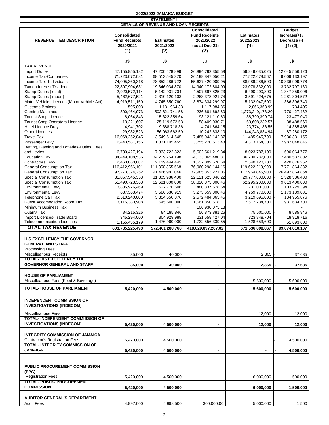| 2022/2023 JAMAICA BUDGET |  |
|--------------------------|--|
| <b>STATEMENT II</b>      |  |

| DETAILS OF REVENUE AND LOAN RECEIPTS       |                      |                  |                       |                  |                                   |  |  |
|--------------------------------------------|----------------------|------------------|-----------------------|------------------|-----------------------------------|--|--|
|                                            |                      |                  | Consolidated          |                  | <b>Budget</b>                     |  |  |
|                                            | <b>Consolidated</b>  |                  | <b>Fund Receipts</b>  | <b>Estimates</b> | Increase $(+)$ /                  |  |  |
| <b>REVENUE ITEM DESCRIPTION</b>            | <b>Fund Receipts</b> | <b>Estimates</b> | 2021/2022             | 2022/2023        | Decrease (-)                      |  |  |
|                                            | 2020/2021            | 2021/2022        | (as at Dec-21)        | (4)              |                                   |  |  |
|                                            | (1)                  | (2)              |                       |                  | $[(4)-(2)]$                       |  |  |
|                                            |                      |                  | (3)                   |                  |                                   |  |  |
|                                            | $J$ \$               | J\$              | J\$                   | $J$ \$           | $\overline{\mathsf{J}\mathsf{S}}$ |  |  |
| <b>TAX REVENUE</b>                         |                      |                  |                       |                  |                                   |  |  |
| <b>Import Duties</b>                       | 47, 155, 955, 182    | 47,200,478,899   | 36,894,792,355.59     | 59,246,035,025   | 12,045,556,126                    |  |  |
| Income Tax-Companies                       | 71,223,072,081       | 68,513,545,370   | 36,199,847,050.21     | 77,522,678,567   | 9,009,133,197                     |  |  |
| Income Tax- Individuals                    | 74,095,360,318       | 78,652,286,722   | 55,627,420,009.95     | 88,989,286,500   | 10,336,999,778                    |  |  |
| Tax on Interest/Dividend                   | 22,807,904,631       | 19,346,034,870   | 14,940,172,804.09     | 23,078,832,000   | 3,732,797,130                     |  |  |
| Stamp Duties (local)                       | 2,920,572,114        | 5,142,931,704    | 4,507,697,825.23      | 6,490,290,800    | 1,347,359,096                     |  |  |
| Stamp Duties (import)                      | 5,462,677,521        | 2,310,120,103    | 2,263,378,921.74      | 3,591,424,675    | 1,281,304,572                     |  |  |
| Motor Vehicle Licences (Motor Vehicle Act) | 4,919,511,150        | 4,745,650,760    | 3,874,334,299.97      | 5,132,047,500    | 386,396,740                       |  |  |
| <b>Customs Brokers</b>                     | 595,803              | 1,131,964.33     | 1,117,984.36          | 2,866,368.99     | 1,734,405                         |  |  |
| <b>Gaming Machines</b>                     | 300,464,973          | 502,821,741.58   | 236,681,692.80        | 1,273,249,173.20 | 770,427,432                       |  |  |
| <b>Tourist Shop Licence</b>                | 8,064,843            | 15,322,359.64    | 93,121,110.60         | 38,799,399.74    | 23,477,040                        |  |  |
| <b>Tourist Shop Operators Licence</b>      | 13,221,607           | 25,119,672.53    | 58,409,030.71         | 63,608,232.57    | 38,488,560                        |  |  |
| <b>Hotel Licence Duty</b>                  | 4,941,702            | 9,388,718.36     | 4,741,864.15          | 23,774,186.55    | 14,385,468                        |  |  |
| <b>Other Licences</b>                      | 29,982,523           | 56,963,662.59    | 10,242,638.10         | 144,243,834.94   | 87,280,172                        |  |  |
| <b>Travel Tax</b>                          | 16,068,252,845       | 3,549,614,545    | 7,485,943,142.37      | 11,485,945,700   | 7,936,331,155                     |  |  |
| Passenger Levy                             | 6,443,587,155        | 1,331,105,455    | 3,755,270,513.43      | 4,313,154,300    | 2,982,048,845                     |  |  |
| Betting, Gaming and Lotteries-Duties, Fees |                      |                  |                       |                  |                                   |  |  |
| and Levies                                 | 6,730,427,194        | 7,333,722,323    | 5,502,561,219.34      | 8,023,787,100    | 690,064,777                       |  |  |
| <b>Education Tax</b>                       | 34,449,108,535       | 34,219,754,198   | 24,133,065,480.31     | 36,700,287,000   | 2,480,532,802                     |  |  |
| <b>Contractors Levy</b>                    | 2,463,060,887        | 2,119,444,443    | 1,537,099,570.64      | 2,540,120,700    | 420,676,257                       |  |  |
| <b>General Consumption Tax</b>             | 116,412,966,101      | 111,850,355,568  | 76,960,298,144.16     | 119,622,219,900  | 7,771,864,332                     |  |  |
| <b>General Consumption Tax</b>             | 97,273,374,252       | 91,466,981,046   | 72,985,353,221.05     | 117,964,845,900  | 26,497,864,854                    |  |  |
| Special Consumption Tax                    | 31,857,545,353       | 31,305,986,400   | 22, 121, 623, 046. 22 | 29,777,600,000   | 1,528,386,400                     |  |  |
| Special Consumption Tax                    | 51,490,723,368       | 52,681,800,000   | 38,820,373,800.46     | 62,295,200,000   | 9,613,400,000                     |  |  |
| <b>Environmental Levy</b>                  | 3,805,926,469        | 627,770,606      | 480, 337, 578.54      | 731,000,000      | 103,229,394                       |  |  |
| <b>Environmental Levy</b>                  | 637, 363, 474        | 3,586,630,919    | 3,273,659,800.46      | 4,759,770,000    | 1,173,139,081                     |  |  |
| <b>Telephone Call Tax</b>                  | 2,510,240,000        | 3,354,650,876    | 2,572,484,863.45      | 3,219,695,000    | 134,955,876                       |  |  |
| <b>Guest Accomodation Room Tax</b>         | 3,115,380,908        | 645,600,000      | 1,561,850,518.11      | 2,577,234,700    | 1,931,634,700                     |  |  |
| Minimum Business Tax                       |                      |                  | 106,930,073.13        |                  |                                   |  |  |
| Quarry Tax                                 | 84,215,326           | 84,185,846       | 56,873,881.26         | 75,600,000       | 8,585,846                         |  |  |
| Import Licences-Trade Board                | 345,294,000          | 304,929,988      | 231,658,427.04        | 323,848,704      | 18,918,716                        |  |  |
| <b>Telecommunication Licences</b>          | 1,155,435,179        | 1,476,960,000    | 1,732,556,339.55      | 1,528,653,600    | 51,693,600                        |  |  |
| <b>TOTAL TAX REVENUE</b>                   | 603,785,225,493      | 572,461,288,760  | 418,029,897,207.02    | 671,536,098,867  | 99,074,810,107                    |  |  |
| HIS EXCELLENCY THE GOVERNOR                |                      |                  |                       |                  |                                   |  |  |
| <b>GENERAL AND STAFF</b>                   |                      |                  |                       |                  |                                   |  |  |
| <b>Processing Fees</b>                     |                      |                  |                       |                  |                                   |  |  |
| Miscelleanous Receipts                     | 35,000               | 40,000           |                       | 2,365            | 37,635                            |  |  |
| <b>TOTAL-HIS EXCELLENCY THE</b>            |                      |                  |                       |                  |                                   |  |  |
| <b>GOVERNOR GENERAL AND STAFF</b>          | 35,000               | 40,000           |                       | 2,365            | 37,635                            |  |  |
|                                            |                      |                  |                       |                  |                                   |  |  |
| <b>HOUSE OF PARLIAMENT</b>                 |                      |                  |                       |                  |                                   |  |  |
| Miscelleanous Fees (Food & Beverage)       |                      |                  |                       | 5,600,000        | 5,600,000                         |  |  |
| <b>TOTAL- HOUSE OF PARLIAMENT</b>          | 5,420,000            | 4,500,000        | $\blacksquare$        | 5,600,000        | 5,600,000                         |  |  |
|                                            |                      |                  |                       |                  |                                   |  |  |
| <b>INDEPENDENT COMMISSION OF</b>           |                      |                  |                       |                  |                                   |  |  |
| <b>INVESTIGATIONS (INDECOM)</b>            |                      |                  |                       |                  |                                   |  |  |
|                                            |                      |                  |                       |                  |                                   |  |  |
| <b>Miscelleanous Fees</b>                  |                      |                  |                       | 12,000           | 12,000                            |  |  |
| <b>TOTAL-INDEPENDENT COMMISSION OF</b>     |                      |                  |                       |                  |                                   |  |  |
| <b>INVESTIGATIONS (INDECOM)</b>            | 5,420,000            | 4,500,000        |                       | 12,000           | 12,000                            |  |  |
|                                            |                      |                  |                       |                  |                                   |  |  |
| <b>INTEGRITY COMMISSION OF JAMAICA</b>     |                      |                  |                       |                  |                                   |  |  |
| <b>Contractor's Registration Fees</b>      | 5,420,000            | 4,500,000        |                       |                  | 4,500,000                         |  |  |
| <b>TOTAL-INTEGRITY COMMISSION OF</b>       |                      |                  |                       |                  |                                   |  |  |
| <b>JAMAICA</b>                             | 5,420,000            | 4,500,000        | $\blacksquare$        | ۰                | 4,500,000                         |  |  |
|                                            |                      |                  |                       |                  |                                   |  |  |
| <b>PUBLIC PROCUREMENT COMMISSION</b>       |                      |                  |                       |                  |                                   |  |  |
| (PPC)                                      |                      |                  |                       |                  |                                   |  |  |
| <b>Registration Fees</b>                   | 5,420,000            | 4,500,000        |                       | 6,000,000        | 1,500,000                         |  |  |
| <b>TOTAL- PUBLIC PROCUREMENT</b>           |                      |                  |                       |                  |                                   |  |  |
| <b>COMMISSION</b>                          | 5,420,000            | 4,500,000        |                       | 6,000,000        | 1,500,000                         |  |  |
|                                            |                      |                  |                       |                  |                                   |  |  |
| <b>AUDITOR GENERAL'S DEPARTMENT</b>        |                      |                  |                       |                  |                                   |  |  |
| <b>Audit Fees</b>                          | 4,997,000            | 4,998,500        | 300,000.00            | 5,000,000        | 1,500                             |  |  |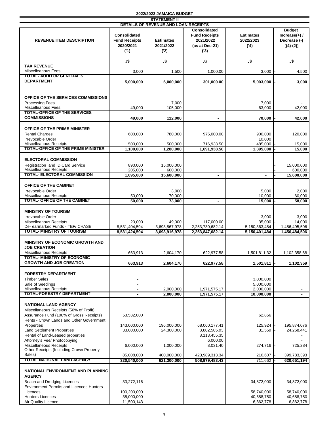|                                                                                                                                                              |                                                                 | <b>STATEMENT II</b>                   |                                                                                   |                                       |                                                                 |
|--------------------------------------------------------------------------------------------------------------------------------------------------------------|-----------------------------------------------------------------|---------------------------------------|-----------------------------------------------------------------------------------|---------------------------------------|-----------------------------------------------------------------|
|                                                                                                                                                              |                                                                 | DETAILS OF REVENUE AND LOAN RECEIPTS  |                                                                                   |                                       |                                                                 |
| <b>REVENUE ITEM DESCRIPTION</b>                                                                                                                              | <b>Consolidated</b><br><b>Fund Receipts</b><br>2020/2021<br>(1) | <b>Estimates</b><br>2021/2022<br>('2) | <b>Consolidated</b><br><b>Fund Receipts</b><br>2021/2022<br>(as at Dec-21)<br>(3) | <b>Estimates</b><br>2022/2023<br>(4)  | <b>Budget</b><br>$Increase(+)$ /<br>Decrease (-)<br>$[(4)-(2)]$ |
|                                                                                                                                                              |                                                                 |                                       |                                                                                   |                                       |                                                                 |
|                                                                                                                                                              | $J\overline{\mathbb{S}}$                                        | J\$                                   | J\$                                                                               | J\$                                   | J\$                                                             |
| <b>TAX REVENUE</b>                                                                                                                                           |                                                                 |                                       |                                                                                   |                                       |                                                                 |
| Miscelleanous Fees                                                                                                                                           | 3,000                                                           | 1,500                                 | 1,000.00                                                                          | 3,000                                 | 4,500                                                           |
| <b>TOTAL- AUDITOR GENERAL'S</b>                                                                                                                              |                                                                 |                                       |                                                                                   |                                       |                                                                 |
| <b>DEPARTMENT</b>                                                                                                                                            | 5,000,000                                                       | 5,000,000                             | 301,000.00                                                                        | 5,003,000                             | 3,000                                                           |
| OFFICE OF THE SERVICES COMMISSIONS<br><b>Processing Fees</b>                                                                                                 |                                                                 | 7,000                                 |                                                                                   | 7,000                                 |                                                                 |
| <b>Miscelleanous Fees</b>                                                                                                                                    | 49,000                                                          | 105,000                               |                                                                                   | 63,000                                | 42,000                                                          |
| TOTAL-OFFICE OF THE SERVICES                                                                                                                                 |                                                                 |                                       |                                                                                   |                                       |                                                                 |
| <b>COMMISSIONS</b>                                                                                                                                           | 49,000                                                          | 112,000                               | $\blacksquare$                                                                    | 70,000                                | 42,000                                                          |
| <b>OFFICE OF THE PRIME MINISTER</b><br><b>Rental Charges</b><br>Irrevocable Order                                                                            | 600,000                                                         | 780,000                               | 975,000.00                                                                        | 900.000<br>10,000                     | 120,000                                                         |
| <b>Miscelleanous Receipts</b>                                                                                                                                | 500,000                                                         | 500.000                               | 716,938.50                                                                        | 485,000                               | 15,000                                                          |
| <b>TOTAL-OFFICE OF THE PRIME MINISTER</b>                                                                                                                    | 1.100.000                                                       | 1.280.000                             | 1,691,938.50                                                                      | 1,395,000                             | 15,000                                                          |
| <b>ELECTORAL COMMISSION</b><br>Registration and ID Card Service<br><b>Miscelleanous Receipts</b>                                                             | 890,000<br>205,000                                              | 15,000,000<br>600,000                 |                                                                                   |                                       | 15,000,000<br>600,000                                           |
| TOTAL ELECTORAL COMMISSION                                                                                                                                   | 1,095,000                                                       | 15,600,000                            |                                                                                   |                                       | 15,600,000                                                      |
| OFFICE OF THE CABINET<br>Irrevocable Order                                                                                                                   |                                                                 | 3,000                                 |                                                                                   | 5,000                                 | 2,000                                                           |
| Miscelleanous Receipts                                                                                                                                       | 50.000                                                          | 70,000                                |                                                                                   | 10,000                                | 60,000                                                          |
| <b>TOTAL-OFFICE OF THE CABINET</b>                                                                                                                           | 50,000                                                          | 73,000                                | $\blacksquare$                                                                    | 15,000                                | 58,000                                                          |
| <b>MINISTRY OF TOURISM</b><br>Irrevocable Order<br><b>Miscelleanous Receipts</b>                                                                             | 20,000                                                          | 49,000                                | 117,000.00                                                                        | 3,000<br>35,000                       | 3,000<br>14,000                                                 |
| De- earmarked Funds - TEF/ CHASE                                                                                                                             | 8,531,404,594                                                   | 3,693,867,978                         | 2,253,730,682.14                                                                  | 5,150,363,484                         | 1,456,495,506                                                   |
| TOTAL- MINISTRY OF TOURISM                                                                                                                                   | 8,531,424,594                                                   | 3,693,916,978                         | 2,253,847,682.14                                                                  | 5,150,401,484                         | 1,456,484,506                                                   |
| <b>MINISTRY OF ECONOMIC GROWTH AND</b><br><b>JOB CREATION</b><br><b>Miscelleanous Receipts</b>                                                               | 663,913                                                         | 2,604,170                             | 622,977.58                                                                        | 1,501,811.32                          | 1,102,358.68                                                    |
| TOTAL- MINISTRY OF ECONOMIC                                                                                                                                  |                                                                 |                                       |                                                                                   |                                       |                                                                 |
| <b>GROWTH AND JOB CREATION</b>                                                                                                                               | 663,913                                                         | 2,604,170                             | 622,977.58                                                                        | 1,501,811                             | 1,102,359                                                       |
| <b>FORESTRY DEPARTMENT</b><br><b>Timber Sales</b><br>Sale of Seedings<br>Miscelleanous Receipts                                                              |                                                                 | 2,000,000                             | 1,971,575.17                                                                      | 3,000,000<br>5,000,000<br>2,000,000   |                                                                 |
| <b>TOTAL-FORESTRY DEPARTMENT</b>                                                                                                                             |                                                                 | 2,000,000                             | 1,971,575.17                                                                      | 10,000,000                            |                                                                 |
| <b>NATIONAL LAND AGENCY</b><br>Miscellaneous Receipts (50% of Profit)<br>Assurance Fund (100% of Gross Receipts)<br>Rents - Crown Lands and Other Government | 53,532,000                                                      |                                       |                                                                                   | 62,856                                |                                                                 |
| Properties<br><b>Land Settlement Properties</b><br>Rental of Land-Leased properties                                                                          | 143,000,000<br>33,000,000                                       | 196,000,000<br>24,300,000             | 68,060,177.41<br>8,802,505.93<br>8,113,455.35                                     | 125,924<br>31,559                     | 195,874,076<br>24,268,441                                       |
| Attorney's Fee/ Photocopying<br>Miscellaneous Receipts<br>Other Receipts (Including Crown Property                                                           | 6,000,000                                                       | 1,000,000                             | 6,000.00<br>8,031.40                                                              | 274,716                               | 725,284                                                         |
| Sales)                                                                                                                                                       | 85,008,000                                                      | 400,000,000                           | 423,989,313.34                                                                    | 216,607                               | 399,783,393                                                     |
| <b>TOTAL NATIONAL LAND AGENCY</b><br>NATIONAL ENVIRONMENT AND PLANNING<br><b>AGENCY</b><br>Beach and Dredging Licences                                       | 320,540,000<br>33,272,116                                       | 621,300,000                           | 508,979,483.43                                                                    | 711,662<br>34,872,000                 | 620,651,194<br>34,872,000                                       |
| <b>Environment Permits and Licences Hunters</b><br>Licences<br><b>Hunters Licences</b><br>Air Quality Licence                                                | 100,200,000<br>35,000,000<br>11,500,143                         |                                       |                                                                                   | 58,740,000<br>40,688,750<br>6,862,778 | 58,740,000<br>40,688,750<br>6,862,778                           |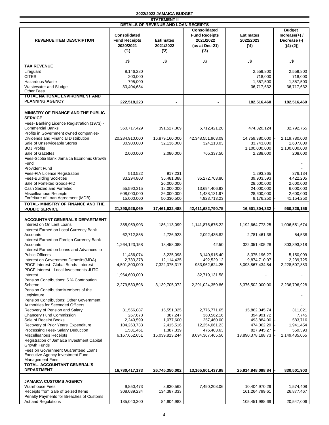|                                                                                |                                                                 | <b>STATEMENT II</b>                   |                                                                            |                                      |                                                                  |
|--------------------------------------------------------------------------------|-----------------------------------------------------------------|---------------------------------------|----------------------------------------------------------------------------|--------------------------------------|------------------------------------------------------------------|
|                                                                                |                                                                 | DETAILS OF REVENUE AND LOAN RECEIPTS  |                                                                            |                                      |                                                                  |
| <b>REVENUE ITEM DESCRIPTION</b>                                                | <b>Consolidated</b><br><b>Fund Receipts</b><br>2020/2021<br>(1) | <b>Estimates</b><br>2021/2022<br>('2) | Consolidated<br><b>Fund Receipts</b><br>2021/2022<br>(as at Dec-21)<br>(3) | <b>Estimates</b><br>2022/2023<br>(4) | <b>Budget</b><br>Increase $(+)$ /<br>Decrease (-)<br>$[(4)-(2)]$ |
|                                                                                | $J\overline{\$}$                                                | $J$ \$                                | $J$ \$                                                                     | $J$ \$                               | $\overline{\mathsf{J}\mathsf{S}}$                                |
| <b>TAX REVENUE</b>                                                             |                                                                 |                                       |                                                                            |                                      |                                                                  |
| Lifeguard                                                                      | 8,146,280                                                       |                                       |                                                                            | 2,559,800                            | 2,559,800                                                        |
| <b>CITES</b>                                                                   | 200,000                                                         |                                       |                                                                            | 718,000                              | 718,000                                                          |
| Hazardous Waste                                                                | 795,000                                                         |                                       |                                                                            | 1,357,500                            | 1,357,500                                                        |
| Wastewater and Sludge<br><b>Other Fees</b>                                     | 33,404,684                                                      |                                       |                                                                            | 36,717,632                           | 36,717,632                                                       |
| <b>TOTAL NATIONAL ENVIRONMENT AND</b>                                          |                                                                 |                                       |                                                                            |                                      |                                                                  |
| <b>PLANNING AGENCY</b>                                                         | 222,518,223                                                     |                                       | ۰                                                                          | 182,516,460                          | 182,516,460                                                      |
| MINISTRY OF FINANCE AND THE PUBLIC<br><b>SERVICE</b>                           |                                                                 |                                       |                                                                            |                                      |                                                                  |
| Fees- Banking Licence Registration (1973) -<br><b>Commercial Banks</b>         | 360,717,429                                                     | 391,527,369                           | 6,712,421.20                                                               | 474,320,124                          | 82,792,755                                                       |
| Profits in Government owned companies-<br>Dividends and Financial Distribution | 20,284,910,000                                                  | 16,879,160,000                        | 42,348,551,963.09                                                          | 14,759,380,000                       | 2,119,780,000                                                    |
| Sale of Unserviceable Stores                                                   | 30,900,000                                                      | 32,136,000                            | 324,113.03                                                                 | 33,743,000                           | 1,607,000                                                        |
| <b>BOJ Profits</b>                                                             |                                                                 |                                       |                                                                            | 1,100,000,000                        | 1,100,000,000                                                    |
| Sale of Gazettes                                                               | 2,000,000                                                       | 2,080,000                             | 765,337.50                                                                 | 2,288,000                            | 208,000                                                          |
| Fees-Scotia Bank Jamaica Economic Growth                                       |                                                                 |                                       |                                                                            |                                      |                                                                  |
| Fund                                                                           |                                                                 |                                       |                                                                            |                                      |                                                                  |
| <b>Provident Fund</b>                                                          |                                                                 |                                       |                                                                            |                                      |                                                                  |
| Fees-FIA Licence Registration                                                  | 513,522                                                         | 917,231                               |                                                                            | 1,293,365                            | 376,134                                                          |
| <b>Fees-Building Societies</b><br>Sale of Forfeited Goods-FID                  | 33,294,803                                                      | 35,481,388<br>26,000,000              | 35,272,703.80                                                              | 39,903,593<br>28,600,000             | 4,422,205<br>2,600,000                                           |
| Cash Seized and Forfeited                                                      | 55,590,315                                                      | 18,000,000                            | 13,694,406.93                                                              | 24,000,000                           | 6,000,000                                                        |
| Miscelleanous Receipts                                                         | 608,000,000                                                     | 26,000,000                            | 1,438,131.97                                                               | 28,600,000                           | 2,600,000                                                        |
| Forfeiture of Loan Agreement (MDB)                                             | 15,000,000                                                      | 50,330,500                            | 4,923,713.23                                                               | 9,176,250                            | 41,154,250                                                       |
| TOTAL- MINISTRY OF FINANCE AND THE<br><b>PUBLIC SERVICE</b>                    | 21,390,926,069                                                  | 17,461,632,488                        | 42,411,682,790.75                                                          | 16,501,304,332                       | 960,328,156                                                      |
| <b>ACCOUNTANT GENERAL'S DEPARTMENT</b>                                         |                                                                 |                                       |                                                                            |                                      |                                                                  |
| Interest on On Lent Loans                                                      | 385,959,903                                                     | 186,113,099                           | 1,141,876,675.22                                                           | 1,192,664,773.25                     | 1,006,551,674                                                    |
| Interest Earned on Local Currency Bank                                         |                                                                 |                                       |                                                                            |                                      |                                                                  |
| Accounts                                                                       | 62,712,855                                                      | 2,726,923                             | 2,092,435.82                                                               | 2,781,461.38                         | 54,538                                                           |
| Interest Earned on Foreign Currency Bank                                       |                                                                 |                                       |                                                                            |                                      |                                                                  |
| Accounts                                                                       | 1,264,123,158                                                   | 18,458,088                            | 42.50                                                                      | 322,351,405.28                       | 303,893,318                                                      |
| Interest Earned on Loans and Advances to<br><b>Public Officers</b>             | 11,436,074                                                      | 3,225,098                             | 3,140,915.40                                                               | 8,375,196.27                         | 5,150,099                                                        |
| Interest on Government Deposits(MDA)                                           | 2,733,378                                                       | 12,114,435                            | 492,529.12                                                                 | 9,874,710.07                         | 2,239,725                                                        |
| PDCF Interest -Global Bonds Interest                                           | 4,501,800,000                                                   | 7,322,375,317                         | 933,962,624.25                                                             | 5,093,867,434.84                     | 2,228,507,883                                                    |
| PDCF Interest - Local Investments JUTC                                         |                                                                 |                                       |                                                                            |                                      |                                                                  |
| Interest                                                                       | 1,964,600,000                                                   |                                       | 82,719,131.58                                                              |                                      |                                                                  |
| Pension Contributions: 5 % Contribution                                        |                                                                 |                                       |                                                                            |                                      |                                                                  |
| Scheme<br>Pension Contribution: Members of the                                 | 2,279,530,596                                                   | 3,139,705,072                         | 2,291,024,359.86                                                           | 5,376,502,000.00                     | 2,236,796,928                                                    |
| Legislature                                                                    |                                                                 |                                       |                                                                            |                                      |                                                                  |
| <b>Pension Contributions: Other Government</b>                                 |                                                                 |                                       |                                                                            |                                      |                                                                  |
| Authorities for Seconded Officers                                              |                                                                 |                                       |                                                                            |                                      |                                                                  |
| Recovery of Pension and Salary                                                 | 31,556,087                                                      | 15,551,025                            | 2,776,771.65                                                               | 15,862,045.74                        | 311,021                                                          |
| <b>Chancery Fund Commission</b>                                                | 267,678                                                         | 387,247                               | 360,562.16                                                                 | 394,991.72                           | 7,745                                                            |
| Sale of Receipt Books<br>Recovery of Prior Years' Expenditure                  | 2,249,599                                                       | 1,077,600                             | 257,460.00                                                                 | 493,884.00                           | 583,716                                                          |
| Processing Fees- Salary Deduction                                              | 104,263,733<br>1,531,461                                        | 2,415,516<br>1,387,339                | 12,254,061.23<br>476,403.63                                                | 474,062.29<br>827,945.27             | 1,941,454<br>559,393                                             |
| Miscelleanous Receipts                                                         | 6,167,652,651                                                   | 16,039,813,244                        | 8,694,367,465.56                                                           | 13,890,378,188.73                    | 2,149,435,055                                                    |
| Registration of Jamaica Investment Capital                                     |                                                                 |                                       |                                                                            |                                      |                                                                  |
| Growth Funds                                                                   |                                                                 |                                       |                                                                            |                                      |                                                                  |
| Fees on Government Guaranteed Loans                                            |                                                                 |                                       |                                                                            |                                      |                                                                  |
| Executive Agency Investment Fund<br><b>Management Fees</b>                     |                                                                 |                                       |                                                                            |                                      |                                                                  |
| TOTAL- ACCOUNTANT GENERAL'S                                                    |                                                                 |                                       |                                                                            |                                      |                                                                  |
| <b>DEPARTMENT</b>                                                              | 16,780,417,173                                                  | 26,745,350,002                        | 13,165,801,437.98                                                          | 25,914,848,098.84                    | 830,501,903                                                      |
| <b>JAMAICA CUSTOMS AGENCY</b>                                                  |                                                                 |                                       |                                                                            |                                      |                                                                  |
| <b>Warehouse Fees</b>                                                          | 9,850,473                                                       | 8,830,562                             | 7,490,208.06                                                               | 10,404,970.29                        | 1,574,408                                                        |
| Receipts from Sale of Seized Items                                             | 308,039,234                                                     | 134,387,333                           |                                                                            | 161,264,799.61                       | 26,877,467                                                       |
| Penalty Payments for Breaches of Customs                                       |                                                                 |                                       |                                                                            |                                      |                                                                  |
| Act and Regulations                                                            | 135,040,300                                                     | 84,904,983                            |                                                                            | 105,451,988.69                       | 20,547,006                                                       |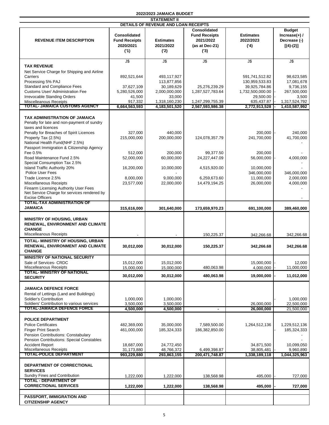|--|

|                                                                                  |                      | <b>STATEMENT II</b>                  |                      |                  |                  |
|----------------------------------------------------------------------------------|----------------------|--------------------------------------|----------------------|------------------|------------------|
|                                                                                  |                      | DETAILS OF REVENUE AND LOAN RECEIPTS |                      |                  |                  |
|                                                                                  |                      |                                      | Consolidated         |                  | <b>Budget</b>    |
|                                                                                  | <b>Consolidated</b>  |                                      | <b>Fund Receipts</b> | <b>Estimates</b> | Increase $(+)$ / |
| <b>REVENUE ITEM DESCRIPTION</b>                                                  | <b>Fund Receipts</b> | <b>Estimates</b>                     | 2021/2022            | 2022/2023        | Decrease (-)     |
|                                                                                  | 2020/2021            | 2021/2022                            | (as at Dec-21)       | (4)              | $[(4)-(2)]$      |
|                                                                                  | (1)                  | ('2)                                 | (3)                  |                  |                  |
|                                                                                  |                      |                                      |                      |                  |                  |
|                                                                                  | $J\overline{\$}$     | J\$                                  | $J$ \$               | $J$ \$           | $J$ \$           |
| <b>TAX REVENUE</b>                                                               |                      |                                      |                      |                  |                  |
|                                                                                  |                      |                                      |                      |                  |                  |
| Net Service Charge for Shipping and Airline                                      |                      |                                      |                      |                  |                  |
| Carriers                                                                         | 892,521,644          | 493,117,927                          |                      | 591,741,512.82   | 98,623,585       |
| Processing 5% PAJ                                                                |                      | 113,877,856                          |                      | 130,959,533.83   | 17,081,678       |
| <b>Standard and Compliance Fees</b>                                              | 37,627,109           | 30,189,629                           | 25,276,239.29        | 39,925,784.86    | 9,736,155        |
| Customs User/ Administration Fee                                                 | 5,280,526,000        | 2,000,000,000                        | 1,287,527,783.64     | 1,732,500,000.00 | 267,500,000      |
| <b>Irrevocable Standing Orders</b>                                               | 41,500               | 33,000                               |                      | 29,500.00        | 3,500            |
| <b>Miscelleanous Receipts</b>                                                    | 917,332              | 1,318,160,230                        | 1,247,299,755.39     | 635,437.87       | 1,317,524,792    |
| <b>TOTAL- JAMAICA CUSTOMS AGENCY</b>                                             | 6,664,563,593        | 4,183,501,520                        | 2,567,593,986.38     | 2,772,913,528    | 1,410,587,992    |
|                                                                                  |                      |                                      |                      |                  |                  |
| <b>TAX ADMINISTRATION OF JAMAICA</b>                                             |                      |                                      |                      |                  |                  |
| Penalty for late and non-payment of sundry                                       |                      |                                      |                      |                  |                  |
| taxes and licences                                                               |                      |                                      |                      |                  |                  |
| Penalty for Breaches of Spirit Licences                                          | 327,000              | 440,000                              |                      | 200,000          | 240,000          |
| Property Tax (2.5%)                                                              | 215,000,000          | 200,000,000                          | 124,078,357.79       | 241,700,000      | 41,700,000       |
| National Health Fund(NHF 2.5%)                                                   |                      |                                      |                      |                  |                  |
| Passport Immigration & Citizenship Agency                                        |                      |                                      |                      |                  |                  |
| Fee 0.5%                                                                         | 512.000              | 200,000                              | 99,377.50            | 200,000          |                  |
| Road Maintenance Fund 2.5%                                                       | 52,000,000           | 60,000,000                           | 24,227,447.09        | 56,000,000       |                  |
| Special Consumption Tax 2.5%                                                     |                      |                                      |                      |                  | 4,000,000        |
|                                                                                  |                      |                                      |                      |                  |                  |
| <b>Island Traffic Authority 20%</b>                                              | 16,200,000           | 10,000,000                           | 4,515,920.00         | 10,000,000       |                  |
| Police User Fees                                                                 |                      |                                      |                      | 346,000,000      | 346,000,000      |
| Trade Licence 2.5%                                                               | 8,000,000            | 9,000,000                            | 6,259,673.60         | 11,000,000       | 2,000,000        |
| <b>Miscellaneous Receipts</b>                                                    | 23,577,000           | 22,000,000                           | 14,479,194.25        | 26,000,000       | 4,000,000        |
| Firearm Licensing Authority User Fees                                            |                      |                                      |                      |                  |                  |
| Net Service Charge for services rendered by                                      |                      |                                      |                      |                  |                  |
| <b>Excise Officers</b>                                                           |                      |                                      |                      |                  |                  |
| TOTAL-TAX ADMINISTRATION OF                                                      |                      |                                      |                      |                  |                  |
| JAMAICA                                                                          | 315,616,000          | 301,640,000                          | 173,659,970.23       | 691,100,000      | 389,460,000      |
|                                                                                  |                      |                                      |                      |                  |                  |
| <b>MINISTRY OF HOUSING, URBAN</b>                                                |                      |                                      |                      |                  |                  |
| RENEWAL, ENVIRONMENT AND CLIMATE                                                 |                      |                                      |                      |                  |                  |
| <b>CHANGE</b>                                                                    |                      |                                      |                      |                  |                  |
| Miscelleanous Receipts                                                           |                      |                                      |                      |                  |                  |
|                                                                                  |                      |                                      | 150,225.37           | 342,266.68       | 342,266.68       |
| TOTAL- MINISTRY OF HOUSING, URBAN                                                |                      |                                      |                      |                  |                  |
| RENEWAL, ENVIRONMENT AND CLIMATE                                                 | 30,012,000           | 30,012,000                           | 150,225.37           | 342,266.68       | 342,266.68       |
| <b>CHANGE</b>                                                                    |                      |                                      |                      |                  |                  |
| <b>MINISTRY OF NATIONAL SECURITY</b>                                             |                      |                                      |                      |                  |                  |
| Sale of Services- CRDC                                                           | 15,012,000           | 15,012,000                           |                      | 15,000,000       | 12,000           |
| Miscelleanous Receipts                                                           | 15,000,000           | 15,000,000                           | 480,063.98           | 4,000,000        | 11,000,000       |
| <b>TOTAL- MINISTRY OF NATIONAL</b>                                               |                      |                                      |                      |                  |                  |
| <b>SECURITY</b>                                                                  | 30,012,000           | 30,012,000                           | 480,063.98           | 19,000,000       | 11,012,000       |
|                                                                                  |                      |                                      |                      |                  |                  |
| <b>JAMAICA DEFENCE FORCE</b>                                                     |                      |                                      |                      |                  |                  |
|                                                                                  |                      |                                      |                      |                  |                  |
| Rental of Lettings (Land and Buildings)                                          |                      |                                      |                      |                  |                  |
| Soldier's Contribution                                                           | 1,000,000            | 1,000,000                            |                      |                  | 1,000,000        |
| Soldiers' Contribution to various services<br><b>TOTAL-JAMAICA DEFENCE FORCE</b> | 3,500,000            | 3,500,000                            |                      | 26,000,000       | 22,500,000       |
|                                                                                  | 4,500,000            | 4,500,000                            | $\blacksquare$       | 26,000,000       | 21,500,000       |
|                                                                                  |                      |                                      |                      |                  |                  |
| <b>POLICE DEPARTMENT</b>                                                         |                      |                                      |                      |                  |                  |
| <b>Police Certificates</b>                                                       | 482,369,000          | 35,000,000                           | 7,589,500.00         | 1,264,512,136    | 1,229,512,136    |
| <b>Finger Print Search</b>                                                       | 461,000,000          | 185,324,333                          | 186,382,850.00       |                  | 185,324,333      |
| Pension Contributions: Constabulary                                              |                      |                                      |                      |                  |                  |
| Pension Contributions: Special Constables                                        |                      |                                      |                      |                  |                  |
| <b>Accident Report</b>                                                           | 18,687,000           | 24,772,450                           |                      | 34,871,500       | 10,099,050       |
| Miscellaneous Receipts                                                           | 31,173,880           | 48,766,372                           | 6,499,398.87         | 38,805,481       | 9,960,890        |
| <b>TOTAL-POLICE DEPARTMENT</b>                                                   | 993,229,880          | 293,863,155                          | 200, 471, 748.87     | 1,338,189,118    | 1,044,325,963    |
|                                                                                  |                      |                                      |                      |                  |                  |
| DEPARTMENT OF CORRECTIONAL                                                       |                      |                                      |                      |                  |                  |
| <b>SERVICES</b>                                                                  |                      |                                      |                      |                  |                  |
| Sundry Fines and Contribution                                                    |                      |                                      |                      |                  |                  |
| TOTAL - DEPARTMENT OF                                                            | 1,222,000            | 1,222,000                            | 138,568.98           | 495,000          | 727,000          |
| <b>CORRECTIONAL SERVICES</b>                                                     |                      |                                      |                      |                  |                  |
|                                                                                  | 1,222,000            | 1,222,000                            | 138,568.98           | 495,000          | 727,000          |
|                                                                                  |                      |                                      |                      |                  |                  |
| PASSPORT, IMMIGRATION AND                                                        |                      |                                      |                      |                  |                  |
| <b>CITIZENSHIP AGENCY</b>                                                        |                      |                                      |                      |                  |                  |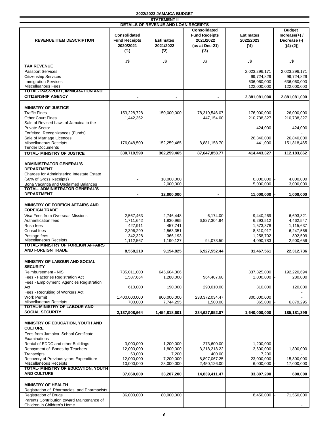|                                                                                                                                                                                                                                                                              |                                                                        | <b>STATEMENT II</b>                                                           |                                                                                   |                                                                            |                                                                                                |
|------------------------------------------------------------------------------------------------------------------------------------------------------------------------------------------------------------------------------------------------------------------------------|------------------------------------------------------------------------|-------------------------------------------------------------------------------|-----------------------------------------------------------------------------------|----------------------------------------------------------------------------|------------------------------------------------------------------------------------------------|
| <b>REVENUE ITEM DESCRIPTION</b>                                                                                                                                                                                                                                              | <b>Consolidated</b><br><b>Fund Receipts</b><br>2020/2021<br>(1)        | DETAILS OF REVENUE AND LOAN RECEIPTS<br><b>Estimates</b><br>2021/2022<br>('2) | <b>Consolidated</b><br><b>Fund Receipts</b><br>2021/2022<br>(as at Dec-21)<br>(3) | <b>Estimates</b><br>2022/2023<br>(4)                                       | <b>Budget</b><br>Increase $(+)$ /<br>Decrease (-)<br>$[(4)-(2)]$                               |
| <b>TAX REVENUE</b><br><b>Passport Services</b><br><b>Citizenship Services</b><br><b>Immigration Services</b><br><b>Miscelleanous Fees</b>                                                                                                                                    | $J$ \$                                                                 | $J$ \$                                                                        | $J\overline{\$}$                                                                  | $J$ \$<br>2,023,296,171<br>99,724,829<br>636,060,000<br>122,000,000        | $\overline{\mathsf{J}\mathsf{S}}$<br>2,023,296,171<br>99,724,829<br>636,060,000<br>122,000,000 |
| <b>TOTAL- PASSPORT, IMMIGRATION AND</b><br><b>CITIZENSHIP AGENCY</b>                                                                                                                                                                                                         |                                                                        |                                                                               |                                                                                   | 2,881,081,000                                                              | 2,881,081,000                                                                                  |
| <b>MINISTRY OF JUSTICE</b><br><b>Traffic Fines</b><br><b>Other Court Fines</b><br>Sale of Revised Laws of Jamaica to the<br><b>Private Sector</b><br>Forfeited Recognizances (Funds)<br>Sale of Marriage Licences                                                            | 153,228,728<br>1,442,362                                               | 150,000,000                                                                   | 78,319,546.07<br>447,154.00                                                       | 176,000,000<br>210,738,327<br>424,000<br>26,840,000                        | 26,000,000<br>210,738,327<br>424,000<br>26,840,000                                             |
| Miscellaneous Receipts<br><b>Tender Documents</b>                                                                                                                                                                                                                            | 176,048,500                                                            | 152,259,465                                                                   | 8,881,158.70                                                                      | 441,000                                                                    | 151,818,465                                                                                    |
| <b>TOTAL- MINISTRY OF JUSTICE</b>                                                                                                                                                                                                                                            | 330,719,590                                                            | 302,259,465                                                                   | 87,647,858.77                                                                     | 414,443,327                                                                | 112,183,862                                                                                    |
| <b>ADMINISTRATOR GENERAL'S</b><br><b>DEPARTMENT</b><br>Charges for Administering Intestate Estate<br>(50% of Gross Receipts)<br>Bona Vacantia and Unclaimed Balances<br><b>TOTAL- ADMINISTRATOR GENERAL'S</b>                                                                |                                                                        | 10,000,000<br>2,000,000                                                       |                                                                                   | 6,000,000<br>5,000,000                                                     | 4,000,000<br>3,000,000                                                                         |
| <b>DEPARTMENT</b>                                                                                                                                                                                                                                                            |                                                                        | 12,000,000                                                                    |                                                                                   | 11,000,000                                                                 | 1,000,000                                                                                      |
| <b>MINISTRY OF FOREIGN AFFAIRS AND</b><br><b>FOREIGN TRADE</b><br>Visa Fees from Overseas Missions<br>Authentication fees<br>Rush fees<br>Consul fees<br>Postage fees<br>Miscellaneous Receipts<br>TOTAL- MINISTRY OF FOREIGN AFFAIRS                                        | 2,567,463<br>1,711,642<br>427,911<br>2,396,299<br>342,328<br>1,112,567 | 2,746,448<br>1,830,965<br>457,741<br>2,563,351<br>366,193<br>1,190,127        | 6,174.00<br>6,827,304.94<br>94,073.50                                             | 9,440,269<br>6,293,512<br>1,573,378<br>8,810,917<br>1,258,702<br>4,090,783 | 6,693,821<br>4,462,547<br>1,115,637<br>6,247,566<br>892,509<br>2,900,656                       |
| <b>AND FOREIGN TRADE</b>                                                                                                                                                                                                                                                     | 8,558,210                                                              | 9,154,825                                                                     | 6,927,552.44                                                                      | 31,467,561                                                                 | 22,312,736                                                                                     |
| MINISTRY OF LABOUR AND SOCIAL<br><b>SECURITY</b><br>Reimbursement - NIS<br>Fees - Factories Registration Act<br>Fees - Employment Agencies Registration<br>Act<br>Fees - Recruiting of Workers Act<br><b>Work Permit</b><br>Miscellaneous Receipts                           | 735,011,000<br>1,587,664<br>610,000<br>1,400,000,000<br>700,000        | 645,604,306<br>1,280,000<br>190,000<br>800,000,000<br>7,744,295               | 964,407.60<br>290,010.00<br>233,372,034.47<br>1,500.00                            | 837,825,000<br>1,000,000<br>310,000<br>800,000,000<br>865,000              | 192,220,694<br>280,000<br>120,000<br>6,879,295                                                 |
| <b>TOTAL-MINISTRY OF LABOUR AND</b><br><b>SOCIAL SECURITY</b>                                                                                                                                                                                                                | 2,137,908,664                                                          | 1,454,818,601                                                                 | 234,627,952.07                                                                    | 1,640,000,000                                                              | 185,181,399                                                                                    |
| <b>MINISTRY OF EDUCATION, YOUTH AND</b><br><b>CULTURE</b><br>Fees from Jamaica School Certificate<br>Examinations<br>Rental of EDDC and other Buildings<br>Repayment of Bonds by Teachers<br>Transcripts<br>Recovery of Previous years Expenditure<br>Miscellaneous Receipts | 3,000,000<br>12,000,000<br>60,000<br>12,000,000<br>10,000,000          | 1,200,000<br>1,800,000<br>7,200<br>7,200,000<br>23,000,000                    | 273,600.00<br>3,218,218.22<br>400.00<br>8,897,067.25<br>2,450,126.00              | 1,200,000<br>3,600,000<br>7,200<br>23,000,000<br>6,000,000                 | 1,800,000<br>15,800,000<br>17,000,000                                                          |
| <b>TOTAL- MINISTRY OF EDUCATION, YOUTH</b><br><b>AND CULTURE</b>                                                                                                                                                                                                             | 37,060,000                                                             | 33,207,200                                                                    | 14,839,411.47                                                                     | 33,807,200                                                                 | 600,000                                                                                        |
| <b>MINISTRY OF HEALTH</b><br>Registration of Pharmacies and Pharmacists<br><b>Registration of Drugs</b><br>Parents Contribution toward Maintenance of<br>Children in Children's Home                                                                                         | 36,000,000                                                             | 80,000,000                                                                    |                                                                                   | 8,450,000                                                                  | 71,550,000                                                                                     |
|                                                                                                                                                                                                                                                                              |                                                                        |                                                                               |                                                                                   |                                                                            |                                                                                                |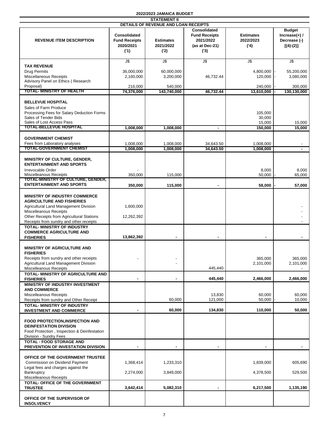| <b>STATEMENT II</b>                                                                                                                                                                                                                 |                                                                 |                                       |                                                                                   |                                      |                                                                 |  |
|-------------------------------------------------------------------------------------------------------------------------------------------------------------------------------------------------------------------------------------|-----------------------------------------------------------------|---------------------------------------|-----------------------------------------------------------------------------------|--------------------------------------|-----------------------------------------------------------------|--|
|                                                                                                                                                                                                                                     |                                                                 | DETAILS OF REVENUE AND LOAN RECEIPTS  |                                                                                   |                                      |                                                                 |  |
| <b>REVENUE ITEM DESCRIPTION</b>                                                                                                                                                                                                     | <b>Consolidated</b><br><b>Fund Receipts</b><br>2020/2021<br>(1) | <b>Estimates</b><br>2021/2022<br>('2) | <b>Consolidated</b><br><b>Fund Receipts</b><br>2021/2022<br>(as at Dec-21)<br>(3) | <b>Estimates</b><br>2022/2023<br>(4) | <b>Budget</b><br>$Increase(+)$ /<br>Decrease (-)<br>$[(4)-(2)]$ |  |
|                                                                                                                                                                                                                                     | J\$                                                             | J\$                                   | J\$                                                                               | J\$                                  | J\$                                                             |  |
| <b>TAX REVENUE</b><br><b>Drug Permits</b><br>Miscellaneous Receipts                                                                                                                                                                 | 36,000,000<br>2,160,000                                         | 60,000,000<br>3,200,000               | 46,732.44                                                                         | 4,800,000<br>120,000                 | 55,200,000<br>3,080,000                                         |  |
| Advisory Panel on Ethics (Research                                                                                                                                                                                                  |                                                                 |                                       |                                                                                   |                                      |                                                                 |  |
| Proposal)<br>TOTAL- MINISTRY OF HEALTH                                                                                                                                                                                              | 216,000<br>74,376,000                                           | 540,000<br>143,740,000                | 46,732.44                                                                         | 240,000<br>13,610,000                | 300,000<br>130,130,000                                          |  |
| <b>BELLEVUE HOSPITAL</b><br>Sales of Farm Produce<br>Processing Fees for Salary Deduction Forms<br>Sales of Tender Bids<br>Sales of Lost Access Pass<br>TOTAL-BELLEVUE HOSPITAL                                                     |                                                                 |                                       |                                                                                   | 105,000<br>30,000<br>15,000          | 15,000                                                          |  |
|                                                                                                                                                                                                                                     | 1,008,000                                                       | 1,008,000                             | $\blacksquare$                                                                    | 150,000                              | 15,000                                                          |  |
| <b>GOVERNMENT CHEMIST</b><br>Fees from Laboratory analyses<br><b>TOTAL-GOVERNMENT CHEMIST</b>                                                                                                                                       | 1,008,000<br>1,008,000                                          | 1,008,000<br>1,008,000                | 34,643.50<br>34.643.50                                                            | 1,008,000<br>1,008,000               |                                                                 |  |
| MINISTRY OF CULTURE, GENDER,<br><b>ENTERTAINMENT AND SPORTS</b><br>Irrevocable Order                                                                                                                                                |                                                                 |                                       |                                                                                   | 8,000                                | 8,000                                                           |  |
| Miscelleanous Receipts<br><b>TOTAL-MINISTRY OF CULTURE, GENDER,</b>                                                                                                                                                                 | 350,000                                                         | 115,000                               |                                                                                   | 50,000                               | 65,000                                                          |  |
| <b>ENTERTAINMENT AND SPORTS</b>                                                                                                                                                                                                     | 350,000                                                         | 115,000                               |                                                                                   | 58,000                               | 57,000                                                          |  |
| <b>MINISTRY OF INDUSTRY COMMERCE</b><br><b>AGRICULTURE AND FISHERIES</b><br>Agricultural Land Management Division<br>Miscelleanous Receipts<br>Other Receipts from Agricultural Stations<br>Receipts from sundry and other receipts | 1,600,000<br>12,262,392                                         |                                       |                                                                                   |                                      |                                                                 |  |
| <b>TOTAL- MINISTRY OF INDUSTRY</b><br><b>COMMERCE AGRICULTURE AND</b><br><b>FISHERIES</b>                                                                                                                                           | 13,862,392                                                      | ٠                                     | $\blacksquare$                                                                    | $\blacksquare$                       | $\blacksquare$                                                  |  |
| <b>MINISTRY OF AGRICULTURE AND</b><br><b>FISHERIES</b><br>Receipts from sundry and other receipts<br>Agricultural Land Management Division<br>Miscelleanous Receipts                                                                |                                                                 |                                       | 445,440                                                                           | 365,000<br>2,101,000                 | 365,000<br>2,101,000                                            |  |
| <b>TOTAL- MINISTRY OF AGRICULTURE AND</b><br><b>FISHERIES</b>                                                                                                                                                                       |                                                                 |                                       | 445,440                                                                           | 2,466,000                            | 2,466,000                                                       |  |
| <b>MINISTRY OF INDUSTRY INVESTMENT</b><br><b>AND COMMERCE</b><br>Miscelleanous Receipts                                                                                                                                             |                                                                 |                                       | 13,830                                                                            | 60,000                               | 60,000                                                          |  |
| Receipts from sundry and Other Receipt                                                                                                                                                                                              |                                                                 | 60,000                                | 121,000                                                                           | 50,000                               | 10,000                                                          |  |
| <b>TOTAL- MINISTRY OF INDUSTRY</b><br><b>INVESTMENT AND COMMERCE</b>                                                                                                                                                                |                                                                 | 60.000                                | 134,830                                                                           | 110,000                              | 50,000                                                          |  |
| <b>FOOD PROTECTION, INSPECTION AND</b><br><b>DEINFESTATION DIVISION</b><br>Food Protection, Inspection & Deinfestation<br>Division - Sundry Fees                                                                                    |                                                                 |                                       |                                                                                   |                                      |                                                                 |  |
| <b>TOTAL - FOOD STORAGE AND</b><br>PREVENTION OF INVESTATION DIVISION                                                                                                                                                               | ٠                                                               | $\blacksquare$                        | $\blacksquare$                                                                    | $\blacksquare$                       | $\blacksquare$                                                  |  |
| OFFICE OF THE GOVERNMENT TRUSTEE<br>Commission on Dividend Payment<br>Legal fees and charges against the<br>Bankruptcy                                                                                                              | 1,368,414<br>2,274,000                                          | 1,233,310<br>3,849,000                |                                                                                   | 1,839,000<br>4,378,500               | 605,690<br>529,500                                              |  |
| Miscelleanous Receipts<br>TOTAL- OFFICE OF THE GOVERNMENT                                                                                                                                                                           |                                                                 |                                       |                                                                                   |                                      |                                                                 |  |
| <b>TRUSTEE</b>                                                                                                                                                                                                                      | 3,642,414                                                       | 5,082,310                             |                                                                                   | 6,217,500                            | 1,135,190                                                       |  |
| OFFICE OF THE SUPERVISOR OF<br><b>INSOLVENCY</b>                                                                                                                                                                                    |                                                                 |                                       |                                                                                   |                                      |                                                                 |  |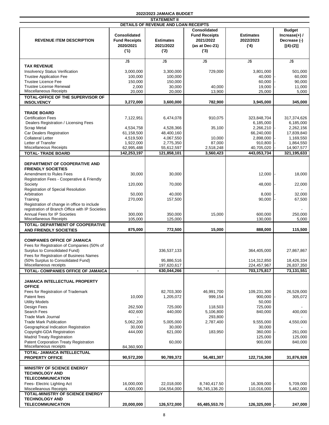|                                                                             |                                                                 | <b>STATEMENT II</b>                                                          |                                                                                   |                                      |                                                                 |
|-----------------------------------------------------------------------------|-----------------------------------------------------------------|------------------------------------------------------------------------------|-----------------------------------------------------------------------------------|--------------------------------------|-----------------------------------------------------------------|
| <b>REVENUE ITEM DESCRIPTION</b>                                             | <b>Consolidated</b><br><b>Fund Receipts</b><br>2020/2021<br>(1) | DETAILS OF REVENUE AND LOAN RECEIPTS<br><b>Estimates</b><br>2021/2022<br>(2) | <b>Consolidated</b><br><b>Fund Receipts</b><br>2021/2022<br>(as at Dec-21)<br>(3) | <b>Estimates</b><br>2022/2023<br>(4) | <b>Budget</b><br>$Increase(+)$ /<br>Decrease (-)<br>$[(4)-(2)]$ |
|                                                                             | $J\overline{\$}$                                                | $J\overline{\$}$                                                             | $\overline{\mathsf{u}}$                                                           | $J$ \$                               | $J$ \$                                                          |
| <b>TAX REVENUE</b><br><b>Insolvency Status Verification</b>                 | 3,000,000                                                       | 3,300,000                                                                    | 729,000                                                                           | 3,801,000                            | 501,000                                                         |
| <b>Trustee Application Fee</b>                                              | 100,000                                                         | 100,000                                                                      |                                                                                   | 40,000                               | 60,000                                                          |
| <b>Trustee Licence Fee</b>                                                  | 150,000                                                         | 150,000                                                                      |                                                                                   | 60,000                               | 90,000                                                          |
| <b>Trustee License Renewal</b><br>Miscellaneous Receipts                    | 2,000<br>20,000                                                 | 30,000<br>20,000                                                             | 40,000<br>13,900                                                                  | 19,000<br>25,000                     | 11,000<br>5,000                                                 |
| <b>TOTAL-OFFICE OF THE SUPERVISOR OF</b>                                    |                                                                 |                                                                              |                                                                                   |                                      |                                                                 |
| <b>INSOLVENCY</b>                                                           | 3,272,000                                                       | 3,600,000                                                                    | 782,900                                                                           | 3,945,000                            | 345,000                                                         |
|                                                                             |                                                                 |                                                                              |                                                                                   |                                      |                                                                 |
| <b>TRADE BOARD</b><br><b>Certification Fees</b>                             | 7,122,951                                                       | 6,474,078                                                                    | 910,075                                                                           | 323,848,704                          | 317,374,626                                                     |
| Dealers Registration / Licensing Fees                                       |                                                                 |                                                                              |                                                                                   | 6,185,000                            | 6,185,000                                                       |
| <b>Scrap Metal</b>                                                          | 4,534,758                                                       | 4,528,366                                                                    | 35,100                                                                            | 2,266,210                            | 2,262,156                                                       |
| Car Dealers Registration                                                    | 61,158,500                                                      | 48,400,160                                                                   |                                                                                   | 66,240,000                           | 17,839,840                                                      |
| <b>Collateral Letter</b><br>Letter of Transfer                              | 4,519,500<br>1,922,000                                          | 4,067,550<br>2,775,350                                                       | 10.000<br>87,000                                                                  | 2,898,000<br>910,800                 | 1,169,550<br>1,864,550                                          |
| Miscellaneous Receipts                                                      | 62,995,488                                                      | 55,612,597                                                                   | 2,518,248                                                                         | 40,705,020                           | 14,907,577                                                      |
| <b>TOTAL- TRADE BOARD</b>                                                   | 142,253,197                                                     | 121,858,101                                                                  | 3,560,423                                                                         | 443,053,734                          | 321,195,633                                                     |
| DEPARTMENT OF COOPERATIVE AND<br><b>FRIENDLY SOCIETIES</b>                  |                                                                 |                                                                              |                                                                                   |                                      |                                                                 |
| Amendment to Rules Fees<br>Registration Fees - Cooperative & Friendly       | 30,000                                                          | 30,000                                                                       |                                                                                   | 12,000                               | 18,000                                                          |
| Society<br>Registration of Special Resolution                               | 120,000                                                         | 70,000                                                                       |                                                                                   | 48,000                               | 22,000                                                          |
| Arbitration                                                                 | 50,000                                                          | 40,000                                                                       |                                                                                   | 8,000                                | 32,000                                                          |
| Training<br>Registration of change in office to include                     | 270,000                                                         | 157,500                                                                      |                                                                                   | 90,000                               | 67,500                                                          |
| registration of Branch Office with IP Societies                             |                                                                 |                                                                              |                                                                                   |                                      |                                                                 |
| Annual Fees for IP Societies                                                | 300,000                                                         | 350,000                                                                      | 15,000                                                                            | 600,000                              | 250,000                                                         |
| Miscellaneous Receipts                                                      | 105,000                                                         | 125,000                                                                      |                                                                                   | 130,000                              | 5,000                                                           |
| TOTAL- DEPARTMENT OF COOPERATIVE<br><b>AND FRIENDLY SOCIETIES</b>           | 875,000                                                         | 772,500                                                                      | 15,000                                                                            | 888,000                              | 115,500                                                         |
| <b>COMPANIES OFFICE OF JAMAICA</b>                                          |                                                                 |                                                                              |                                                                                   |                                      |                                                                 |
| Fees for Registration of Companies (50% of                                  |                                                                 |                                                                              |                                                                                   |                                      |                                                                 |
| Surplus to Consolidated Fund)                                               |                                                                 | 336,537,133                                                                  |                                                                                   | 364,405,000                          | 27,867,867                                                      |
| Fees for Registration of Business Names                                     |                                                                 |                                                                              |                                                                                   |                                      |                                                                 |
| (50% Surplus to Consolidated Fund)<br>Miscellaneous receipts                |                                                                 | 95,886,516<br>197,620,617                                                    |                                                                                   | 114,312,850<br>224,457,967           | 18,426,334<br>26,837,350                                        |
| TOTAL- COMPANIES OFFICE OF JAMAICA                                          | $\blacksquare$                                                  | 630,044,266                                                                  | $\blacksquare$                                                                    | 703,175,817                          | 73,131,551                                                      |
|                                                                             |                                                                 |                                                                              |                                                                                   |                                      |                                                                 |
| <b>JAMAICA INTELLECTUAL PROPERTY</b><br><b>OFFICE</b>                       |                                                                 |                                                                              |                                                                                   |                                      |                                                                 |
| Fees for Registration of Trademark                                          |                                                                 | 82,703,300                                                                   | 46,991,700                                                                        | 109,231,300                          | 26,528,000                                                      |
| Patent fees                                                                 | 10,000                                                          | 1,205,072                                                                    | 999,154                                                                           | 900,000                              | 305,072                                                         |
| <b>Utility Models</b>                                                       |                                                                 |                                                                              |                                                                                   | 50,000                               |                                                                 |
| Design Fees<br>Search Fees                                                  | 262,500<br>402,600                                              | 725,000<br>440,000                                                           | 118,503<br>5,106,800                                                              | 725,000<br>840,000                   | 400,000                                                         |
| <b>Trade Mark Journal</b>                                                   |                                                                 |                                                                              | 293,800                                                                           |                                      |                                                                 |
| <b>Trade Mark Publication</b>                                               | 5,062,200                                                       | 5,005,000                                                                    | 2,787,400                                                                         | 9,555,000                            | 4,550,000                                                       |
| Geographical Indication Registration                                        | 30,000                                                          | 30,000                                                                       |                                                                                   | 30,000                               |                                                                 |
| Copyright-GDA Registration                                                  | 444,000                                                         | 621,000                                                                      | 183,950                                                                           | 360,000                              | 261,000                                                         |
| <b>Madrid Treaty Registration</b><br>Patent Corporation Treaty Registration |                                                                 | 60,000                                                                       |                                                                                   | 125,000<br>900,000                   | 125,000<br>840,000                                              |
| Miscellaneous receipts                                                      | 84,360,900                                                      |                                                                              |                                                                                   |                                      |                                                                 |
| TOTAL- JAMAICA INTELLECTUAL                                                 | 90,572,200                                                      | 90,789,372                                                                   | 56,481,307                                                                        | 122,716,300                          | 31,876,928                                                      |
| <b>PROPERTY OFFICE</b>                                                      |                                                                 |                                                                              |                                                                                   |                                      |                                                                 |
| <b>MINISTRY OF SCIENCE ENERGY</b>                                           |                                                                 |                                                                              |                                                                                   |                                      |                                                                 |
| <b>TECHNOLOGY AND</b><br><b>TELECOMMUNICATION</b>                           |                                                                 |                                                                              |                                                                                   |                                      |                                                                 |
| Fees- Electric Lighting Act                                                 | 16,000,000                                                      | 22,018,000                                                                   | 8,740,417.50                                                                      | 16,309,000                           | 5,709,000                                                       |
| Miscelleanous Receipts                                                      | 4,000,000                                                       | 104,554,000                                                                  | 56,745,136.20                                                                     | 110,016,000                          | 5,462,000                                                       |
| TOTAL-MINISTRY OF SCIENCE ENERGY                                            |                                                                 |                                                                              |                                                                                   |                                      |                                                                 |
| <b>TECHNOLOGY AND</b><br><b>TELECOMMUNICATION</b>                           |                                                                 |                                                                              |                                                                                   |                                      |                                                                 |
|                                                                             | 20,000,000                                                      | 126,572,000                                                                  | 65,485,553.70                                                                     | 126,325,000                          | 247,000                                                         |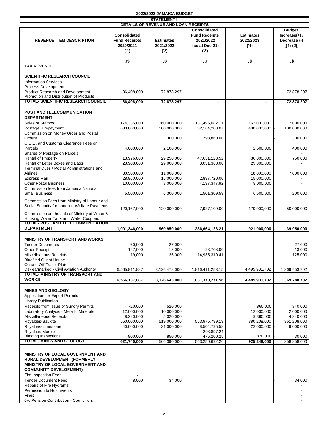|  | 2022/2023 JAMAICA BUDGET |
|--|--------------------------|
|--|--------------------------|

| <b>STATEMENT II</b>                                                                                                                                |                                                          |                                       |                                                                                   |                                      |                                                                  |
|----------------------------------------------------------------------------------------------------------------------------------------------------|----------------------------------------------------------|---------------------------------------|-----------------------------------------------------------------------------------|--------------------------------------|------------------------------------------------------------------|
|                                                                                                                                                    |                                                          | DETAILS OF REVENUE AND LOAN RECEIPTS  |                                                                                   |                                      |                                                                  |
| <b>REVENUE ITEM DESCRIPTION</b>                                                                                                                    | Consolidated<br><b>Fund Receipts</b><br>2020/2021<br>(1) | <b>Estimates</b><br>2021/2022<br>('2) | <b>Consolidated</b><br><b>Fund Receipts</b><br>2021/2022<br>(as at Dec-21)<br>(3) | <b>Estimates</b><br>2022/2023<br>(4) | <b>Budget</b><br>Increase $(+)$ /<br>Decrease (-)<br>$[(4)-(2)]$ |
| <b>TAX REVENUE</b>                                                                                                                                 | $\overline{5}$                                           | J\$                                   | $\overline{5}$                                                                    | J\$                                  | J\$                                                              |
| <b>SCIENTIFIC RESEARCH COUNCIL</b><br><b>Information Services</b><br>Process Development                                                           |                                                          |                                       |                                                                                   |                                      |                                                                  |
| Product Research and Development<br>Promotion and Distribution of Products                                                                         | 86,408,000                                               | 72,878,297                            |                                                                                   |                                      | 72,878,297                                                       |
| TOTAL- SCIENTIFIC RESEARCH COUNCIL                                                                                                                 | 86,408,000                                               | 72,878,297                            | $\blacksquare$                                                                    |                                      | 72,878,297                                                       |
| POST AND TELECOMMUNICATION<br><b>DEPARTMENT</b><br>Sales of Stamps                                                                                 | 174,335,000                                              | 160,000,000                           | 131,495,082.11                                                                    | 162,000,000                          | 2,000,000                                                        |
| Postage, Prepayment<br>Commission on Money Order and Postal                                                                                        | 680,000,000                                              | 580,000,000                           | 32,164,203.07                                                                     | 480,000,000                          | 100,000,000                                                      |
| Orders<br>C.O.D. and Customs Clearance Fees on                                                                                                     |                                                          | 300,000                               | 798,860.00                                                                        |                                      | 300,000                                                          |
| Parcels<br>Shares of Postage on Parcels                                                                                                            | 4.000.000                                                | 2,100,000                             |                                                                                   | 2,500,000                            | 400,000                                                          |
| <b>Rental of Property</b><br>Rental of Letter Boxes and Bags<br>Terminal Dues / Postal Administrations and                                         | 13,976,000<br>23,908,000                                 | 29,250,000<br>29,000,000              | 47,651,123.52<br>8,031,368.00                                                     | 30,000,000<br>29,000,000             | 750,000                                                          |
| Airlines<br><b>Express Mail</b>                                                                                                                    | 30,500,000<br>28,960,000                                 | 11,000,000<br>15,000,000              | 2,897,720.00                                                                      | 18,000,000<br>15,000,000             | 7,000,000                                                        |
| <b>Other Postal Business</b><br>Commission fees from Jamaica National                                                                              | 10,000,000                                               | 8,000,000                             | 4,197,347.92                                                                      | 8,000,000                            |                                                                  |
| <b>Small Business</b><br>Commission Fees from Ministry of Labour and                                                                               | 5,500,000                                                | 6,300,000                             | 1,501,309.59                                                                      | 6,500,000                            | 200,000                                                          |
| Social Security for handling Welfare Payments<br>Commission on the sale of Ministry of Water &                                                     | 120,167,000                                              | 120,000,000                           | 7,927,109.00                                                                      | 170,000,000                          | 50,000,000                                                       |
| Housing Water Tank and Water Coupons<br>TOTAL- POST AND TELECOMMUNICATION                                                                          |                                                          |                                       |                                                                                   |                                      |                                                                  |
| <b>DEPARTMENT</b>                                                                                                                                  | 1,091,346,000                                            | 960,950,000                           | 236,664,123.21                                                                    | 921,000,000                          | 39,950,000                                                       |
|                                                                                                                                                    |                                                          |                                       |                                                                                   |                                      |                                                                  |
| <b>MINISTRY OF TRANSPORT AND WORKS</b>                                                                                                             |                                                          |                                       |                                                                                   |                                      |                                                                  |
| <b>Tender Documents</b>                                                                                                                            | 60,000                                                   | 27,000                                |                                                                                   |                                      | 27,000                                                           |
| <b>Other Receipts</b>                                                                                                                              | 147,000                                                  | 13,000                                | 23,708.00                                                                         |                                      | 13,000                                                           |
| Miscelleanous Receipts                                                                                                                             | 19,000                                                   | 125,000                               | 14,935,310.41                                                                     |                                      | 125,000                                                          |
| <b>Bluefield Guest House</b>                                                                                                                       |                                                          |                                       |                                                                                   |                                      |                                                                  |
| On and Off Trailer Plates<br>De- earmarked - Civil Aviation Authority                                                                              | 6,565,911,887                                            | 3,126,478,000                         | 1,816,411,253.15                                                                  | 4,495,931,702                        | 1,369,453,702                                                    |
| TOTAL- MINISTRY OF TRANSPORT AND<br><b>WORKS</b>                                                                                                   | 6,566,137,887                                            | 3,126,643,000                         | 1,831,370,271.56                                                                  | 4,495,931,702                        | 1,369,288,702                                                    |
|                                                                                                                                                    |                                                          |                                       |                                                                                   |                                      |                                                                  |
| <b>MINES AND GEOLOGY</b><br><b>Application for Export Permits</b><br><b>Library Publication</b>                                                    |                                                          |                                       |                                                                                   |                                      |                                                                  |
| Receipts from issue of Sundry Permits                                                                                                              | 720,000                                                  | 520,000                               |                                                                                   | 860,000                              | 340,000                                                          |
| Laboratory Analysis - Metallic Minerals                                                                                                            | 12,000,000                                               | 10,000,000                            |                                                                                   | 12,000,000                           | 2,000,000                                                        |
| Miscellaneous Receipts                                                                                                                             | 8,220,000                                                | 5,020,000                             |                                                                                   | 9,360,000                            | 4,340,000                                                        |
| Royalties-Bauxite                                                                                                                                  | 560,000,000                                              | 519,000,000                           | 553,975,799.19                                                                    | 880,208,000                          | 361,208,000                                                      |
| Royalties-Limestone<br>Royalties-Marble                                                                                                            | 40,000,000                                               | 31,000,000                            | 8,504,795.58<br>293,897.24                                                        | 22,000,000                           | 9,000,000                                                        |
| <b>Blasting Inspections</b><br><b>TOTAL- MINES AND GEOLOGY</b>                                                                                     | 800,000<br>621,740,000                                   | 850,000<br>566,390,000                | 476,200.25<br>563,250,692.26                                                      | 820,000<br>925,248,000               | 30,000<br>358,858,000                                            |
|                                                                                                                                                    |                                                          |                                       |                                                                                   |                                      |                                                                  |
| <b>MINISTRY OF LOCAL GOVERNMENT AND</b><br><b>RURAL DEVELOPMENT (FORMERLY</b><br>MINISTRY OF LOCAL GOVERNMENT AND<br><b>COMMUNITY DEVELOPMENT)</b> |                                                          |                                       |                                                                                   |                                      |                                                                  |
| Fire Inspection Fees                                                                                                                               |                                                          |                                       |                                                                                   |                                      |                                                                  |
| <b>Tender Document Fees</b><br>Repairs of Fire Hydrants                                                                                            | 8,000                                                    | 34,000                                |                                                                                   |                                      | 34,000                                                           |
| Permission to Host events                                                                                                                          |                                                          |                                       |                                                                                   |                                      |                                                                  |
| <b>Fines</b>                                                                                                                                       |                                                          |                                       |                                                                                   |                                      |                                                                  |
| 6% Pension Contribution - Councillors                                                                                                              |                                                          |                                       |                                                                                   |                                      |                                                                  |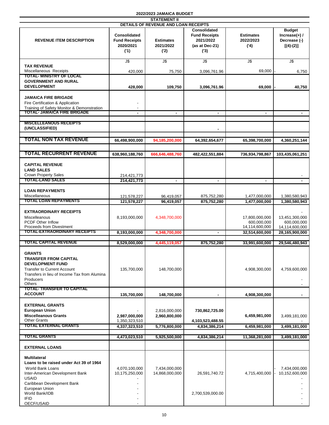| <b>STATEMENT II</b>                                                                                                                                                                                                    |                                                                 |                                      |                                                                                   |                                                 |                                                                 |
|------------------------------------------------------------------------------------------------------------------------------------------------------------------------------------------------------------------------|-----------------------------------------------------------------|--------------------------------------|-----------------------------------------------------------------------------------|-------------------------------------------------|-----------------------------------------------------------------|
|                                                                                                                                                                                                                        |                                                                 | DETAILS OF REVENUE AND LOAN RECEIPTS |                                                                                   |                                                 |                                                                 |
| <b>REVENUE ITEM DESCRIPTION</b>                                                                                                                                                                                        | <b>Consolidated</b><br><b>Fund Receipts</b><br>2020/2021<br>(1) | <b>Estimates</b><br>2021/2022<br>(2) | <b>Consolidated</b><br><b>Fund Receipts</b><br>2021/2022<br>(as at Dec-21)<br>(3) | <b>Estimates</b><br>2022/2023<br>(4)            | <b>Budget</b><br>$Increase(+)$ /<br>Decrease (-)<br>$[(4)-(2)]$ |
|                                                                                                                                                                                                                        | J\$                                                             | J\$                                  | J\$                                                                               | J\$                                             | J\$                                                             |
| <b>TAX REVENUE</b>                                                                                                                                                                                                     |                                                                 |                                      |                                                                                   |                                                 |                                                                 |
| Miscellaneous Receipts                                                                                                                                                                                                 | 420,000                                                         | 75,750                               | 3,096,761.96                                                                      | 69,000                                          | 6,750                                                           |
| <b>TOTAL- MINISTRY OF LOCAL</b>                                                                                                                                                                                        |                                                                 |                                      |                                                                                   |                                                 |                                                                 |
| <b>GOVERNMENT AND RURAL</b><br><b>DEVELOPMENT</b>                                                                                                                                                                      | 428,000                                                         | 109,750                              | 3,096,761.96                                                                      | 69,000                                          | 40,750                                                          |
| <b>JAMAICA FIRE BRIGADE</b><br>Fire Certification & Application<br>Training of Safety Monitor & Demonstration<br><b>TOTAL: JAMAICA FIRE BRIGADE</b>                                                                    |                                                                 | $\blacksquare$                       |                                                                                   | $\blacksquare$                                  |                                                                 |
|                                                                                                                                                                                                                        |                                                                 |                                      |                                                                                   |                                                 |                                                                 |
| <b>MISCELLEANOUS RECEIPTS</b><br>(UNCLASSIFIED)                                                                                                                                                                        |                                                                 |                                      |                                                                                   |                                                 |                                                                 |
| <b>TOTAL NON TAX REVENUE</b>                                                                                                                                                                                           | 66,498,900,000                                                  | 94,185,200,000                       | 64,392,654,677                                                                    | 65,398,700,000                                  | 4,360,251,144                                                   |
|                                                                                                                                                                                                                        |                                                                 |                                      |                                                                                   |                                                 |                                                                 |
| <b>TOTAL RECURRENT REVENUE</b>                                                                                                                                                                                         | 638,960,188,760                                                 | 666.646.488.760                      | 482.422.551.884                                                                   | 736,934,798,867                                 | 103,435,061,251                                                 |
| <b>CAPITAL REVENUE</b><br><b>LAND SALES</b><br><b>Crown Property Sales</b>                                                                                                                                             | 214,421,773                                                     |                                      |                                                                                   |                                                 |                                                                 |
| <b>TOTAL-LAND SALES</b>                                                                                                                                                                                                | 214,421,773                                                     | $\blacksquare$                       | $\blacksquare$                                                                    | $\blacksquare$                                  |                                                                 |
| <b>LOAN REPAYMENTS</b><br>Miscellaneous<br>TOTAL LOAN REPAYMENTS                                                                                                                                                       | 121,578,227<br>121,578,227                                      | 96,419,057<br>96,419,057             | 875,752,280<br>875,752,280                                                        | 1,477,000,000<br>1,477,000,000                  | 1,380,580,943<br>1,380,580,943                                  |
|                                                                                                                                                                                                                        |                                                                 |                                      |                                                                                   |                                                 |                                                                 |
| <b>EXTRAORDINARY RECEIPTS</b><br>Miscelleanous<br><b>PCDF Other Inflow</b><br><b>Proceeds from Divestment</b>                                                                                                          | 8,193,000,000                                                   | 4,348,700,000                        |                                                                                   | 17,800,000,000<br>600.000.000<br>14,114,600,000 | 13,451,300,000<br>600,000,000<br>14,114,600,000                 |
| TOTAL-EXTRAORDINARY RECEIPTS                                                                                                                                                                                           | 8,193,000,000                                                   | 4,348,700,000                        |                                                                                   | 32,514,600,000                                  | 28,165,900,000                                                  |
|                                                                                                                                                                                                                        |                                                                 |                                      |                                                                                   |                                                 |                                                                 |
| TOTAL CAPITAL REVENUE                                                                                                                                                                                                  | 8,529,000,000                                                   | 4,445,119,057                        | 875,752,280                                                                       | 33,991,600,000                                  | 29,546,480,943                                                  |
| <b>GRANTS</b><br>TRANSFER FROM CAPITAL<br><b>DEVELOPMENT FUND</b><br><b>Transfer to Current Account</b><br>Transfers in lieu of Income Tax from Alumina<br>Producers<br>Others                                         | 135,700,000                                                     | 148,700,000                          |                                                                                   | 4,908,300,000                                   | 4,759,600,000                                                   |
| <b>TOTAL-TRANSFER TO CAPITAL</b>                                                                                                                                                                                       |                                                                 |                                      |                                                                                   |                                                 |                                                                 |
| <b>ACCOUNT</b>                                                                                                                                                                                                         | 135,700,000                                                     | 148,700,000                          |                                                                                   | 4,908,300,000                                   | ٠                                                               |
| <b>EXTERNAL GRANTS</b><br><b>European Union</b><br><b>Miscelleanous Grants</b><br><b>Other Grants</b>                                                                                                                  | 2,987,000,000<br>1,350,323,510                                  | 2,816,000,000<br>2,960,800,000       | 730,862,725.00<br>4,103,523,488.55                                                | 6,459,981,000                                   | 3,499,181,000                                                   |
| <b>TOTAL EXTERNAL GRANTS</b>                                                                                                                                                                                           | 4,337,323,510                                                   | 5,776,800,000                        | 4,834,386,214                                                                     | 6,459,981,000                                   | 3,499,181,000                                                   |
|                                                                                                                                                                                                                        |                                                                 |                                      |                                                                                   |                                                 |                                                                 |
| <b>TOTAL GRANTS</b>                                                                                                                                                                                                    | 4,473,023,510                                                   | 5,925,500,000                        | 4,834,386,214                                                                     | 11,368,281,000                                  | 3,499,181,000                                                   |
| <b>EXTERNAL LOANS</b>                                                                                                                                                                                                  |                                                                 |                                      |                                                                                   |                                                 |                                                                 |
| <b>Multilateral</b><br>Loans to be raised under Act 39 of 1964<br>World Bank Loans<br>Inter-American Development Bank<br><b>USAID</b><br>Caribbean Development Bank<br>European Union<br>World Bank/IDB<br><b>IFID</b> | 4,070,100,000<br>10,175,250,000                                 | 7,434,000,000<br>14,868,000,000      | 26,591,740.72<br>2,700,539,000.00                                                 | 4,715,400,000                                   | 7,434,000,000<br>10,152,600,000                                 |
| OECF/USAID                                                                                                                                                                                                             |                                                                 |                                      |                                                                                   |                                                 |                                                                 |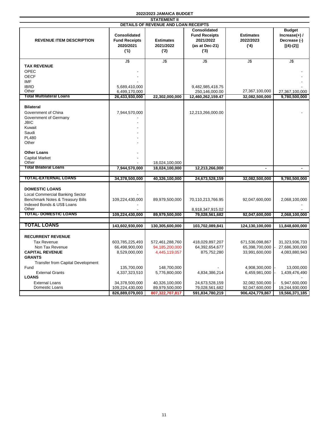| <b>STATEMENT II</b>                                                                                                                                      |                                                          |                                                    |                                                                                   |                                                     |                                                                  |
|----------------------------------------------------------------------------------------------------------------------------------------------------------|----------------------------------------------------------|----------------------------------------------------|-----------------------------------------------------------------------------------|-----------------------------------------------------|------------------------------------------------------------------|
|                                                                                                                                                          |                                                          | DETAILS OF REVENUE AND LOAN RECEIPTS               |                                                                                   |                                                     |                                                                  |
| <b>REVENUE ITEM DESCRIPTION</b>                                                                                                                          | Consolidated<br><b>Fund Receipts</b><br>2020/2021<br>(1) | <b>Estimates</b><br>2021/2022<br>('2)              | <b>Consolidated</b><br><b>Fund Receipts</b><br>2021/2022<br>(as at Dec-21)<br>(3) | <b>Estimates</b><br>2022/2023<br>(4)                | <b>Budget</b><br>Increase $(+)$ /<br>Decrease (-)<br>$[(4)-(2)]$ |
|                                                                                                                                                          | J\$                                                      | $\overline{\mathsf{J}\mathsf{S}}$                  | J\$                                                                               | $J$ \$                                              | J\$                                                              |
| <b>TAX REVENUE</b><br>OPEC<br><b>OECF</b><br><b>IMF</b><br><b>IBRD</b>                                                                                   | 5,689,410,000                                            |                                                    | 9,482,985,418.75                                                                  |                                                     |                                                                  |
| Other                                                                                                                                                    | 6,499,170,000                                            |                                                    | 250,146,000.00                                                                    | 27,367,100,000                                      | 27,367,100,000                                                   |
| <b>Total Multilateral Loans</b>                                                                                                                          | 26,433,930,000                                           | 22,302,000,000                                     | 12,460,262,159.47                                                                 | 32,082,500,000                                      | 9,780,500,000                                                    |
| <b>Bilateral</b><br>Government of China<br>Government of Germany<br><b>JBIC</b><br>Kuwait<br>Saudi<br>PL480<br>Other                                     | 7,944,570,000                                            |                                                    | 12,213,266,000.00                                                                 |                                                     |                                                                  |
| <b>Other Loans</b><br><b>Capital Market</b><br>Other<br><b>Total Bilateral Loans</b>                                                                     | 7,944,570,000                                            | 18,024,100,000                                     |                                                                                   | ä,                                                  |                                                                  |
|                                                                                                                                                          |                                                          | 18,024,100,000                                     | 12,213,266,000                                                                    |                                                     |                                                                  |
| <b>TOTAL-EXTERNAL LOANS</b>                                                                                                                              | 34,378,500,000                                           | 40,326,100,000                                     | 24,673,528,159                                                                    | 32,082,500,000                                      | 9,780,500,000                                                    |
| <b>DOMESTIC LOANS</b><br><b>Local Commercial Banking Sector</b><br>Benchmark Notes & Treasury Bills<br>Indexed Bonds & US\$ Loans<br>Other               | 109,224,430,000                                          | 89,979,500,000                                     | 70,110,213,766.95<br>8,918,347,915.02                                             | 92,047,600,000                                      | 2,068,100,000                                                    |
| <b>TOTAL- DOMESTIC LOANS</b>                                                                                                                             | 109,224,430,000                                          | 89,979,500,000                                     | 79,028,561,682                                                                    | 92,047,600,000                                      | 2,068,100,000                                                    |
|                                                                                                                                                          |                                                          |                                                    |                                                                                   |                                                     |                                                                  |
| TOTAL LOANS                                                                                                                                              | 143,602,930,000                                          | 130,305,600,000                                    | 103,702,089,841                                                                   | 124,130,100,000                                     | 11,848,600,000                                                   |
| <b>RECURRENT REVENUE</b><br><b>Tax Revenue</b><br>Non Tax Revenue<br><b>CAPITAL REVENUE</b><br><b>GRANTS</b><br><b>Transfer from Capital Development</b> | 603,785,225,493<br>66,498,900,000<br>8,529,000,000       | 572,461,288,760<br>94,185,200,000<br>4,445,119,057 | 418,029,897,207<br>64,392,654,677<br>875,752,280                                  | 671,536,098,867<br>65,398,700,000<br>33,991,600,000 | 31,323,936,733<br>27,686,300,000<br>4,083,880,943                |
| Fund<br><b>External Grants</b><br><b>LOANS</b>                                                                                                           | 135,700,000<br>4,337,323,510                             | 148,700,000<br>5,776,800,000                       | 4,834,386,214                                                                     | 4,908,300,000<br>6,459,981,000                      | 13,000,000<br>1,439,476,490                                      |
| <b>External Loans</b><br>Domestic Loans                                                                                                                  | 34,378,500,000<br>109,224,430,000                        | 40,326,100,000<br>89,979,500,000                   | 24,673,528,159<br>79,028,561,682                                                  | 32,082,500,000<br>92,047,600,000                    | 5,947,600,000<br>19,244,930,000                                  |
|                                                                                                                                                          | 826,889,079,003                                          | 807,322,707,817                                    | 591,834,780,219                                                                   | 906, 424, 779, 867                                  | 19,566,371,185                                                   |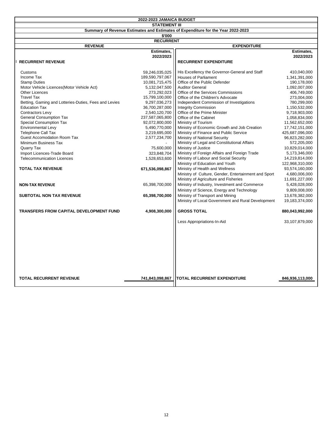| <b>STATEMENT III</b><br>Summary of Revenue Estimates and Estimates of Expenditure for the Year 2022-2023<br>\$'000<br><b>RECURRENT</b><br><b>REVENUE</b><br><b>EXPENDITURE</b> |  |
|--------------------------------------------------------------------------------------------------------------------------------------------------------------------------------|--|
|                                                                                                                                                                                |  |
|                                                                                                                                                                                |  |
|                                                                                                                                                                                |  |
|                                                                                                                                                                                |  |
| Estimates,<br>Estimates,                                                                                                                                                       |  |
| 2022/2023<br>2022/2023                                                                                                                                                         |  |
| <b>RECURRENT REVENUE</b><br><b>RECURRENT EXPENDITURE</b>                                                                                                                       |  |
|                                                                                                                                                                                |  |
| Customs<br>59,246,035,025<br>His Excellency the Governor-General and Staff<br>410,040,000                                                                                      |  |
| <b>Houses of Parliament</b><br>Income Tax<br>189,590,797,067<br>1,341,391,000                                                                                                  |  |
| 10,081,715,475<br><b>Stamp Duties</b><br>Office of the Public Defender<br>190,178,000                                                                                          |  |
| Motor Vehicle Licences(Motor Vehicle Act)<br>5,132,047,500<br><b>Auditor General</b><br>1,092,007,000                                                                          |  |
| <b>Other Licences</b><br>273,292,023<br>Office of the Services Commissions<br>406,749,000                                                                                      |  |
| 15,799,100,000<br><b>Travel Tax</b><br>Office of the Children's Advocate<br>273,004,000                                                                                        |  |
| 9,297,036,273<br>Betting, Gaming and Lotteries-Duties, Fees and Levies<br>Independent Commission of Investigations<br>780,299,000                                              |  |
| <b>Integrity Commission</b><br><b>Education Tax</b><br>36,700,287,000<br>1,150,532,000                                                                                         |  |
| Office of the Prime Minister<br>Contractors Levy<br>2,540,120,700<br>9,718,903,000                                                                                             |  |
| <b>General Consumption Tax</b><br>Office of the Cabinet<br>237,587,065,800<br>1,058,834,000                                                                                    |  |
| <b>Special Consumption Tax</b><br>92,072,800,000<br>Ministry of Tourism<br>11,562,652,000                                                                                      |  |
| <b>Environmental Levy</b><br>5,490,770,000<br>Ministry of Economic Growth and Job Creation<br>17,742,151,000                                                                   |  |
| <b>Telephone Call Tax</b><br>3,219,695,000<br>Ministry of Finance and Public Service<br>425,687,096,000                                                                        |  |
| Ministry of National Security<br><b>Guest Accomodation Room Tax</b><br>2,577,234,700<br>96,823,282,000                                                                         |  |
| Ministry of Legal and Constitutional Affairs<br>Minimum Business Tax<br>572,205,000                                                                                            |  |
| Ministry of Justice<br>75,600,000<br>10,829,014,000<br>Quarry Tax                                                                                                              |  |
| Ministry of Foreign Affairs and Foreign Trade<br>Import Licences-Trade Board<br>323,848,704<br>5,173,346,000                                                                   |  |
| Ministry of Labour and Social Security<br><b>Telecommunication Licences</b><br>1,528,653,600<br>14,219,814,000                                                                 |  |
| Ministry of Education and Youth<br>122,968,310,000                                                                                                                             |  |
| <b>TOTAL TAX REVENUE</b><br>Ministry of Health and Wellness<br>671,536,098,867<br>93,574,160,000                                                                               |  |
| Ministry of Culture, Gender, Entertainment and Sport<br>4,680,006,000                                                                                                          |  |
| Ministry of Agriculture and Fisheries<br>11,691,227,000                                                                                                                        |  |
| Ministry of Industry, Investment and Commerce<br>65,398,700,000<br>5,428,028,000<br><b>NON-TAX REVENUE</b>                                                                     |  |
| Ministry of Science, Energy and Technology<br>9,809,008,000                                                                                                                    |  |
| 65,398,700,000<br>Ministry of Transport and Mining<br><b>SUBTOTAL NON TAX REVENUE</b><br>13,678,382,000                                                                        |  |
| Ministry of Local Government and Rural Development<br>19,183,374,000                                                                                                           |  |
|                                                                                                                                                                                |  |
| <b>TRANSFERS FROM CAPITAL DEVELOPMENT FUND</b><br>4,908,300,000<br><b>GROSS TOTAL</b><br>880,043,992,000                                                                       |  |
|                                                                                                                                                                                |  |
| Less Appropriations-In-Aid<br>33,107,879,000                                                                                                                                   |  |
|                                                                                                                                                                                |  |
|                                                                                                                                                                                |  |
|                                                                                                                                                                                |  |
|                                                                                                                                                                                |  |
|                                                                                                                                                                                |  |
|                                                                                                                                                                                |  |
|                                                                                                                                                                                |  |
|                                                                                                                                                                                |  |
|                                                                                                                                                                                |  |
| <b>TOTAL RECURRENT REVENUE</b><br><b>TOTAL RECURRENT EXPENDITURE</b>                                                                                                           |  |
| 741,843,098,867<br>846,936,113,000                                                                                                                                             |  |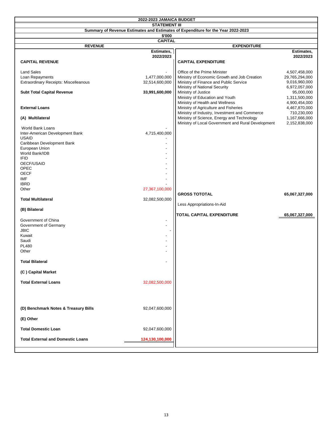|                                          | 2022-2023 JAMAICA BUDGET |                                                                                  |                |  |  |
|------------------------------------------|--------------------------|----------------------------------------------------------------------------------|----------------|--|--|
|                                          | <b>STATEMENT III</b>     |                                                                                  |                |  |  |
|                                          |                          | Summary of Revenue Estimates and Estimates of Expenditure for the Year 2022-2023 |                |  |  |
|                                          | \$'000                   |                                                                                  |                |  |  |
|                                          | <b>CAPITAL</b>           |                                                                                  |                |  |  |
| <b>REVENUE</b>                           |                          | <b>EXPENDITURE</b>                                                               |                |  |  |
|                                          | Estimates,               |                                                                                  | Estimates,     |  |  |
|                                          | 2022/2023                |                                                                                  | 2022/2023      |  |  |
|                                          |                          |                                                                                  |                |  |  |
| <b>CAPITAL REVENUE</b>                   |                          | <b>CAPITAL EXPENDITURE</b>                                                       |                |  |  |
|                                          |                          |                                                                                  |                |  |  |
| <b>Land Sales</b>                        |                          | Office of the Prime Minister                                                     | 4,507,458,000  |  |  |
| Loan Repayments                          | 1,477,000,000            | Ministry of Economic Growth and Job Creation                                     | 29,765,294,000 |  |  |
| Extraordinary Receipts: Miscelleanous    | 32,514,600,000           | Ministry of Finance and Public Service                                           | 9,016,960,000  |  |  |
|                                          |                          | Ministry of National Security                                                    | 6,972,057,000  |  |  |
| <b>Subt Total Capital Revenue</b>        | 33,991,600,000           | Ministry of Justice                                                              | 95,000,000     |  |  |
|                                          |                          | Ministry of Education and Youth                                                  | 1,311,500,000  |  |  |
|                                          |                          | Ministry of Health and Wellness                                                  | 4,900,454,000  |  |  |
| <b>External Loans</b>                    |                          | Ministry of Agriculture and Fisheries                                            | 4,467,870,000  |  |  |
|                                          |                          | Ministry of Industry, Investment and Commerce                                    | 710,230,000    |  |  |
| (A) Multilateral                         |                          | Ministry of Science, Energy and Technology                                       | 1,167,666,000  |  |  |
|                                          |                          | Ministry of Local Government and Rural Development                               | 2,152,838,000  |  |  |
| World Bank Loans                         |                          |                                                                                  |                |  |  |
| Inter-American Development Bank          | 4,715,400,000            |                                                                                  |                |  |  |
| <b>USAID</b>                             |                          |                                                                                  |                |  |  |
| Caribbean Development Bank               |                          |                                                                                  |                |  |  |
| European Union                           |                          |                                                                                  |                |  |  |
| World Bank/IDB                           |                          |                                                                                  |                |  |  |
| <b>IFID</b>                              |                          |                                                                                  |                |  |  |
| OECF/USAID                               |                          |                                                                                  |                |  |  |
| <b>OPEC</b>                              |                          |                                                                                  |                |  |  |
| <b>OECF</b>                              |                          |                                                                                  |                |  |  |
| <b>IMF</b>                               |                          |                                                                                  |                |  |  |
| <b>IBRD</b>                              |                          |                                                                                  |                |  |  |
| Other                                    | 27,367,100,000           |                                                                                  |                |  |  |
|                                          |                          | <b>GROSS TOTOTAL</b>                                                             | 65,067,327,000 |  |  |
| <b>Total Multilateral</b>                | 32,082,500,000           |                                                                                  |                |  |  |
|                                          |                          | Less Appropriations-In-Aid                                                       |                |  |  |
| (B) Bilateral                            |                          |                                                                                  |                |  |  |
|                                          |                          | <b>TOTAL CAPITAL EXPENDITURE</b>                                                 |                |  |  |
|                                          |                          |                                                                                  | 65,067,327,000 |  |  |
| Government of China                      | $\overline{\phantom{a}}$ |                                                                                  |                |  |  |
| Government of Germany                    |                          |                                                                                  |                |  |  |
| <b>JBIC</b>                              |                          |                                                                                  |                |  |  |
| Kuwait                                   |                          |                                                                                  |                |  |  |
| Saudi                                    |                          |                                                                                  |                |  |  |
| <b>PL480</b>                             |                          |                                                                                  |                |  |  |
| Other                                    |                          |                                                                                  |                |  |  |
|                                          |                          |                                                                                  |                |  |  |
| <b>Total Bilateral</b>                   |                          |                                                                                  |                |  |  |
|                                          |                          |                                                                                  |                |  |  |
| (C) Capital Market                       |                          |                                                                                  |                |  |  |
|                                          |                          |                                                                                  |                |  |  |
| <b>Total External Loans</b>              | 32,082,500,000           |                                                                                  |                |  |  |
|                                          |                          |                                                                                  |                |  |  |
|                                          |                          |                                                                                  |                |  |  |
|                                          |                          |                                                                                  |                |  |  |
|                                          |                          |                                                                                  |                |  |  |
| (D) Benchmark Notes & Treasury Bills     | 92,047,600,000           |                                                                                  |                |  |  |
|                                          |                          |                                                                                  |                |  |  |
|                                          |                          |                                                                                  |                |  |  |
| (E) Other                                |                          |                                                                                  |                |  |  |
|                                          |                          |                                                                                  |                |  |  |
| <b>Total Domestic Loan</b>               | 92,047,600,000           |                                                                                  |                |  |  |
|                                          |                          |                                                                                  |                |  |  |
| <b>Total External and Domestic Loans</b> | 124,130,100,000          |                                                                                  |                |  |  |
|                                          |                          |                                                                                  |                |  |  |
|                                          |                          |                                                                                  |                |  |  |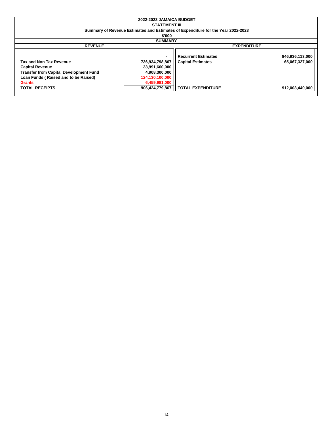| 2022-2023 JAMAICA BUDGET                                                                                                                                           |                                                                                                          |                                                                                  |                                   |  |  |
|--------------------------------------------------------------------------------------------------------------------------------------------------------------------|----------------------------------------------------------------------------------------------------------|----------------------------------------------------------------------------------|-----------------------------------|--|--|
|                                                                                                                                                                    | <b>STATEMENT III</b>                                                                                     |                                                                                  |                                   |  |  |
|                                                                                                                                                                    |                                                                                                          | Summary of Revenue Estimates and Estimates of Expenditure for the Year 2022-2023 |                                   |  |  |
|                                                                                                                                                                    | \$'000                                                                                                   |                                                                                  |                                   |  |  |
|                                                                                                                                                                    | <b>SUMMARY</b>                                                                                           |                                                                                  |                                   |  |  |
| <b>REVENUE</b>                                                                                                                                                     |                                                                                                          | <b>EXPENDITURE</b>                                                               |                                   |  |  |
| <b>Tax and Non Tax Revenue</b><br><b>Capital Revenue</b><br><b>Transfer from Capital Development Fund</b><br>Loan Funds (Raised and to be Raised)<br><b>Grants</b> | $\blacksquare$<br>736,934,798,867<br>33,991,600,000<br>4,908,300,000<br>124,130,100,000<br>6,459,981,000 | <b>Recurrent Estimates</b><br><b>Capital Estimates</b>                           | 846,936,113,000<br>65,067,327,000 |  |  |
| <b>TOTAL RECEIPTS</b>                                                                                                                                              | 906,424,779,867                                                                                          | <b>TOTAL EXPENDITURE</b>                                                         | 912,003,440,000                   |  |  |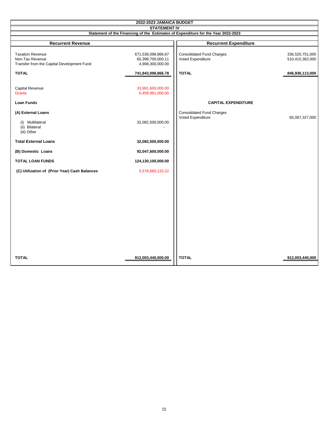| 2022-2023 JAMAICA BUDGET                                                                 |                                                             |                                                       |                                    |
|------------------------------------------------------------------------------------------|-------------------------------------------------------------|-------------------------------------------------------|------------------------------------|
| <b>STATEMENT IV</b>                                                                      |                                                             |                                                       |                                    |
| Statement of the Financing of the Estimates of Expenditure for the Year 2022-2023        |                                                             |                                                       |                                    |
|                                                                                          |                                                             |                                                       |                                    |
| <b>Recurrent Revenue</b>                                                                 |                                                             | <b>Recurrent Expenditure</b>                          |                                    |
| <b>Taxation Revenue</b><br>Non-Tax Revenue<br>Transfer from the Capital Development Fund | 671,536,098,866.67<br>65,398,700,000.11<br>4,908,300,000.00 | <b>Consolidated Fund Charges</b><br>Voted Expenditure | 336,520,751,000<br>510,415,362,000 |
| <b>TOTAL</b>                                                                             | 741,843,098,866.78                                          | <b>TOTAL</b>                                          | 846,936,113,000                    |
| Capital Revenue<br><b>Grants</b><br><b>Loan Funds</b>                                    | 33,991,600,000.00<br>6,459,981,000.00                       | <b>CAPITAL EXPENDITURE</b>                            |                                    |
|                                                                                          |                                                             |                                                       |                                    |
| (A) External Loans<br>(i) Multilateral<br>(ii) Bilateral<br>(iii) Other                  | 32,082,500,000.00                                           | <b>Consolidated Fund Charges</b><br>Voted Expenditure | 65,067,327,000                     |
| <b>Total External Loans</b>                                                              | 32,082,500,000.00                                           |                                                       |                                    |
| (B) Domestic Loans                                                                       | 92,047,600,000.00                                           |                                                       |                                    |
| <b>TOTAL LOAN FUNDS</b>                                                                  | 124,130,100,000.00                                          |                                                       |                                    |
| (C) Utilization of (Prior Year) Cash Balances                                            | 5,578,660,133.22                                            |                                                       |                                    |
|                                                                                          |                                                             |                                                       |                                    |
| <b>TOTAL</b>                                                                             | 912,003,440,000.00                                          | <b>TOTAL</b>                                          | 912,003,440,000                    |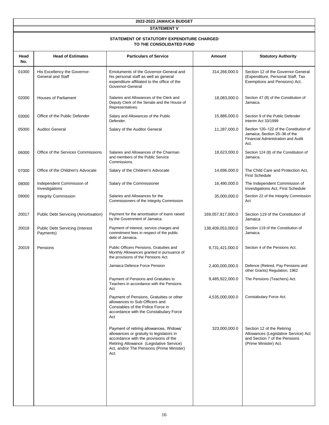| 2022-2023 JAMAICA BUDGET                                               |                                                          |                                                                                                                                                                                                                               |                   |                                                                                                                              |  |  |
|------------------------------------------------------------------------|----------------------------------------------------------|-------------------------------------------------------------------------------------------------------------------------------------------------------------------------------------------------------------------------------|-------------------|------------------------------------------------------------------------------------------------------------------------------|--|--|
| <b>STATEMENT V</b>                                                     |                                                          |                                                                                                                                                                                                                               |                   |                                                                                                                              |  |  |
| STATEMENT OF STATUTORY EXPENDITURE CHARGED<br>TO THE CONSOLIDATED FUND |                                                          |                                                                                                                                                                                                                               |                   |                                                                                                                              |  |  |
| Head<br>No.                                                            | <b>Head of Estimates</b>                                 | <b>Particulars of Service</b>                                                                                                                                                                                                 | <b>Amount</b>     | <b>Statutory Authority</b>                                                                                                   |  |  |
| 01000                                                                  | His Excellency the Governor-<br><b>General and Staff</b> | Emoluments of the Governor-General and<br>his personal staff as well as general<br>expenditure affiliated to the office of the<br>Governor-General                                                                            | 314,266,000.0     | Section 12 of the Governor-General<br>(Expenditure, Personal Staff, Tax<br>Exemptions and Pensions) Act.                     |  |  |
| 02000                                                                  | <b>Houses of Parliament</b>                              | Salaries and Allowances of the Clerk and<br>Deputy Clerk of the Senate and the House of<br>Representatives.                                                                                                                   | 18,083,000.0      | Section 47 (8) of the Constitution of<br>Jamaica.                                                                            |  |  |
| 03000                                                                  | Office of the Public Defender                            | Salary and Allowances of the Public<br>Defender.                                                                                                                                                                              | 15,886,000.0      | Section 9 of the Public Defender<br>Interim Act 33/1999                                                                      |  |  |
| 05000                                                                  | <b>Auditor General</b>                                   | Salary of the Auditor General                                                                                                                                                                                                 | 11,287,000.0      | Section 120-122 of the Constitution of<br>Jamaica; Section 25-36 of the<br>Financial Administration and Audit<br>Act.        |  |  |
| 06000                                                                  | Office of the Services Commissions                       | Salaries and Allowances of the Chairman<br>and members of the Public Service<br>Commissions.                                                                                                                                  | 18,623,000.0      | Section 124 (8) of the Constitution of<br>Jamaica.                                                                           |  |  |
| 07000                                                                  | Office of the Children's Advocate                        | Salary of the Children's Advocate                                                                                                                                                                                             | 14,696,000.0      | The Child Care and Protection Act.<br><b>First Schedule</b>                                                                  |  |  |
| 08000                                                                  | Independent Commission of<br>Investigations              | Salary of the Commissioner                                                                                                                                                                                                    | 16,490,000.0      | The Independent Commission of<br>Investigations Act, First Schedule                                                          |  |  |
| 09000                                                                  | <b>Integrity Commission</b>                              | Salaries and Allowances for the<br>Commissioners of the Integrity Commission                                                                                                                                                  | 35,000,000.0      | Section 22 of the Integrity Commission<br>Act                                                                                |  |  |
| 20017                                                                  | Public Debt Servicing (Amortisation)                     | Payment for the amortisation of loans raised<br>by the Government of Jamaica.                                                                                                                                                 | 169,057,917,000.0 | Section 119 of the Constitution of<br>Jamaica                                                                                |  |  |
| 20018                                                                  | Public Debt Servicing (Interest<br>Payments)             | Payment of interest, service charges and<br>commitment fees in respect of the public<br>debt of Jamaica.                                                                                                                      | 138,409,053,000.0 | Section 119 of the Constitution of<br>Jamaica.                                                                               |  |  |
| 20019                                                                  | Pensions                                                 | Public Officers Pensions, Gratuities and<br>Monthly Allowances granted in pursuance of<br>the provisions of the Pensions Act.                                                                                                 | 9,731,421,000.0   | Section 4 of the Pensions Act.                                                                                               |  |  |
|                                                                        |                                                          | Jamaica Defence Force Pension                                                                                                                                                                                                 | 2,400,000,000.0   | Defence (Retired, Pay Pensions and<br>other Grants) Regulation, 1962                                                         |  |  |
|                                                                        |                                                          | Payment of Pensions and Gratuities to<br>Teachers in accordance with the Pensions<br>Act                                                                                                                                      | 9,485,922,000.0   | The Pensions (Teachers) Act.                                                                                                 |  |  |
|                                                                        |                                                          | Payment of Pensions, Gratuities or other<br>allowances to Sub-Officers and<br>Constables of the Police Force in<br>accordance with the Constabulary Force<br>Act                                                              | 4,535,000,000.0   | Constabulary Force Act.                                                                                                      |  |  |
|                                                                        |                                                          | Payment of retiring allowances, Widows'<br>allowances or gratuity to legislators in<br>accordance with the provisions of the<br>Retiring Allowance (Legislative Service)<br>Act, and/or The Pensions (Prime Minister)<br>Act. | 323,000,000.0     | Section 12 of the Retiring<br>Allowances (Legislative Service) Act<br>and Section 7 of the Pensions<br>(Prime Minister) Act. |  |  |
|                                                                        |                                                          |                                                                                                                                                                                                                               |                   |                                                                                                                              |  |  |